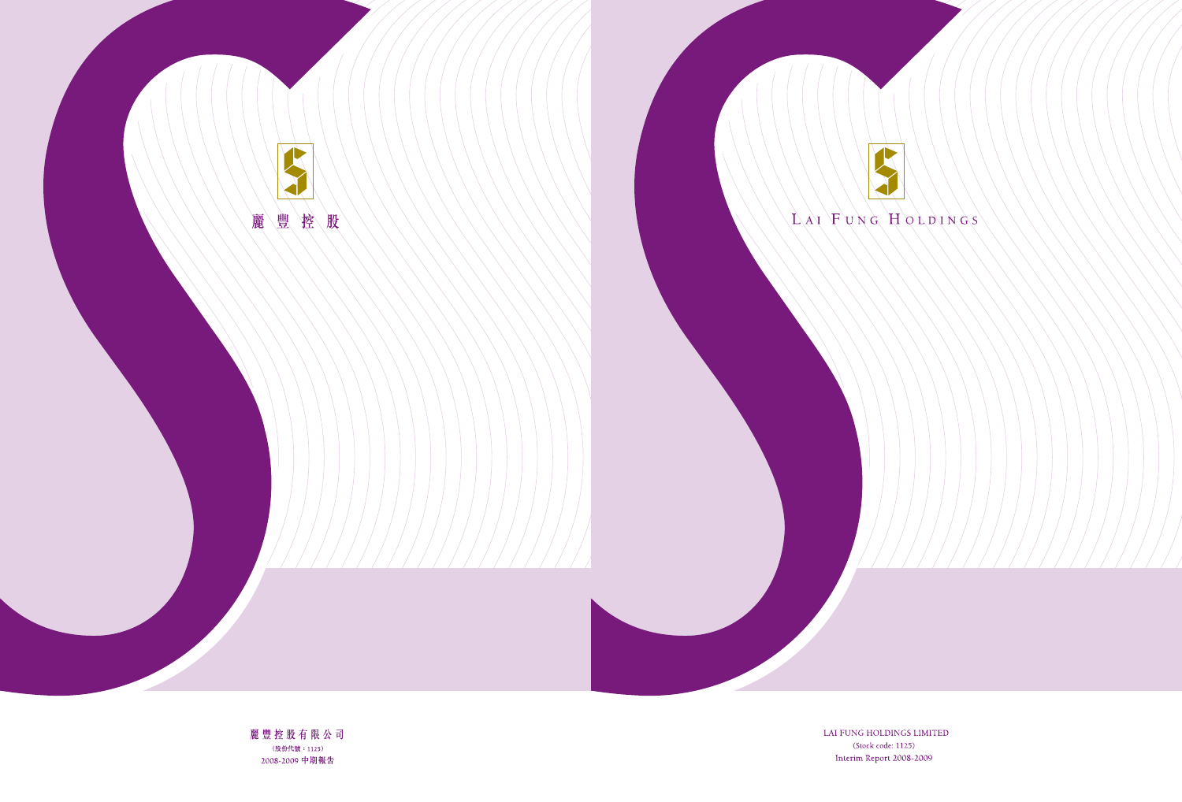

LAI FUNG HOLDINGS LIMITED (Stock code: 1125) Interim Report 2008-2009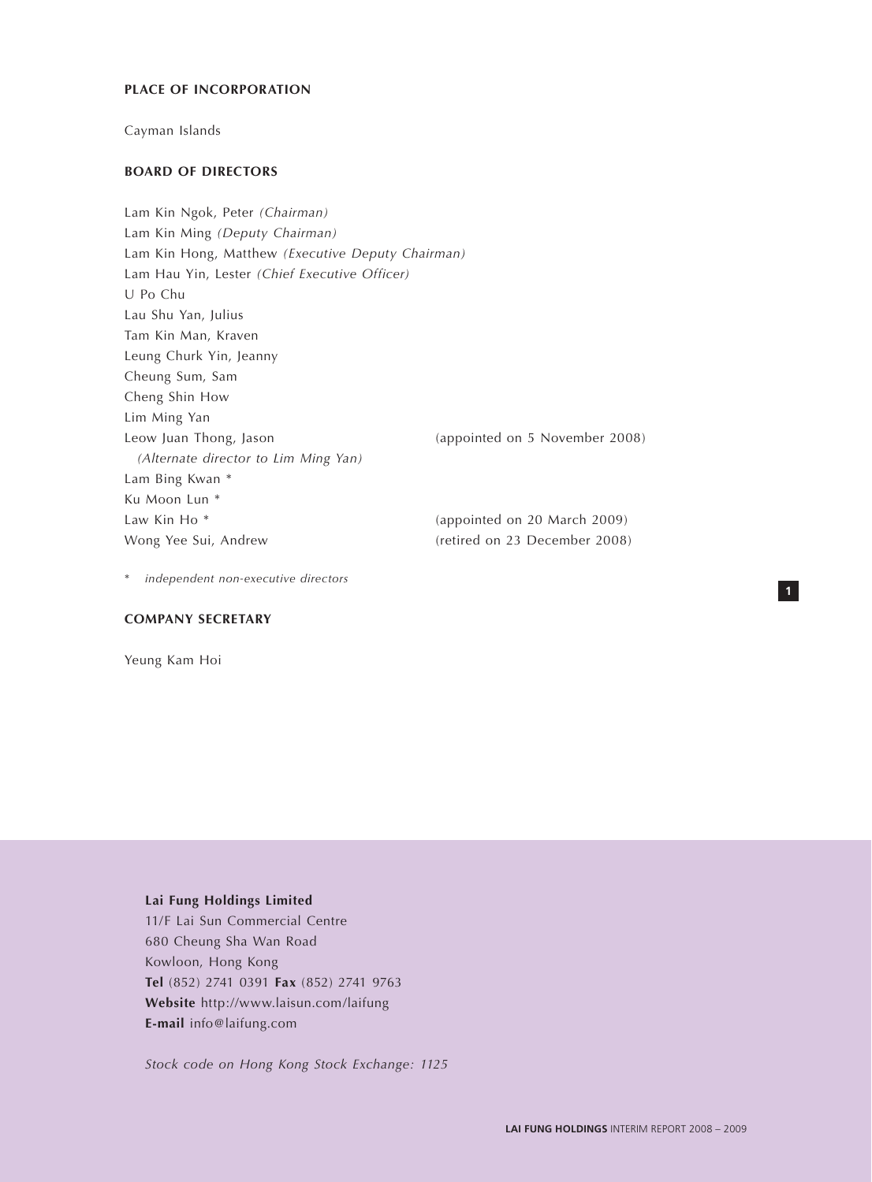## **PLACE OF INCORPORATION**

Cayman Islands

# **BOARD OF DIRECTORS**

Lam Kin Ngok, Peter *(Chairman)* Lam Kin Ming *(Deputy Chairman)* Lam Kin Hong, Matthew *(Executive Deputy Chairman)* Lam Hau Yin, Lester *(Chief Executive Officer)* U Po Chu Lau Shu Yan, Julius Tam Kin Man, Kraven Leung Churk Yin, Jeanny Cheung Sum, Sam Cheng Shin How Lim Ming Yan Leow Juan Thong, Jason (appointed on 5 November 2008) *(Alternate director to Lim Ming Yan)* Lam Bing Kwan \* Ku Moon Lun \* Law Kin Ho<sup>\*</sup> (appointed on 20 March 2009) Wong Yee Sui, Andrew (retired on 23 December 2008)

\* *independent non-executive directors*

# **COMPANY SECRETARY**

Yeung Kam Hoi

# **Lai Fung Holdings Limited**

11/F Lai Sun Commercial Centre 680 Cheung Sha Wan Road Kowloon, Hong Kong **Tel** (852) 2741 0391 **Fax** (852) 2741 9763 **Website** http://www.laisun.com/laifung **E-mail** info@laifung.com

*Stock code on Hong Kong Stock Exchange: 1125*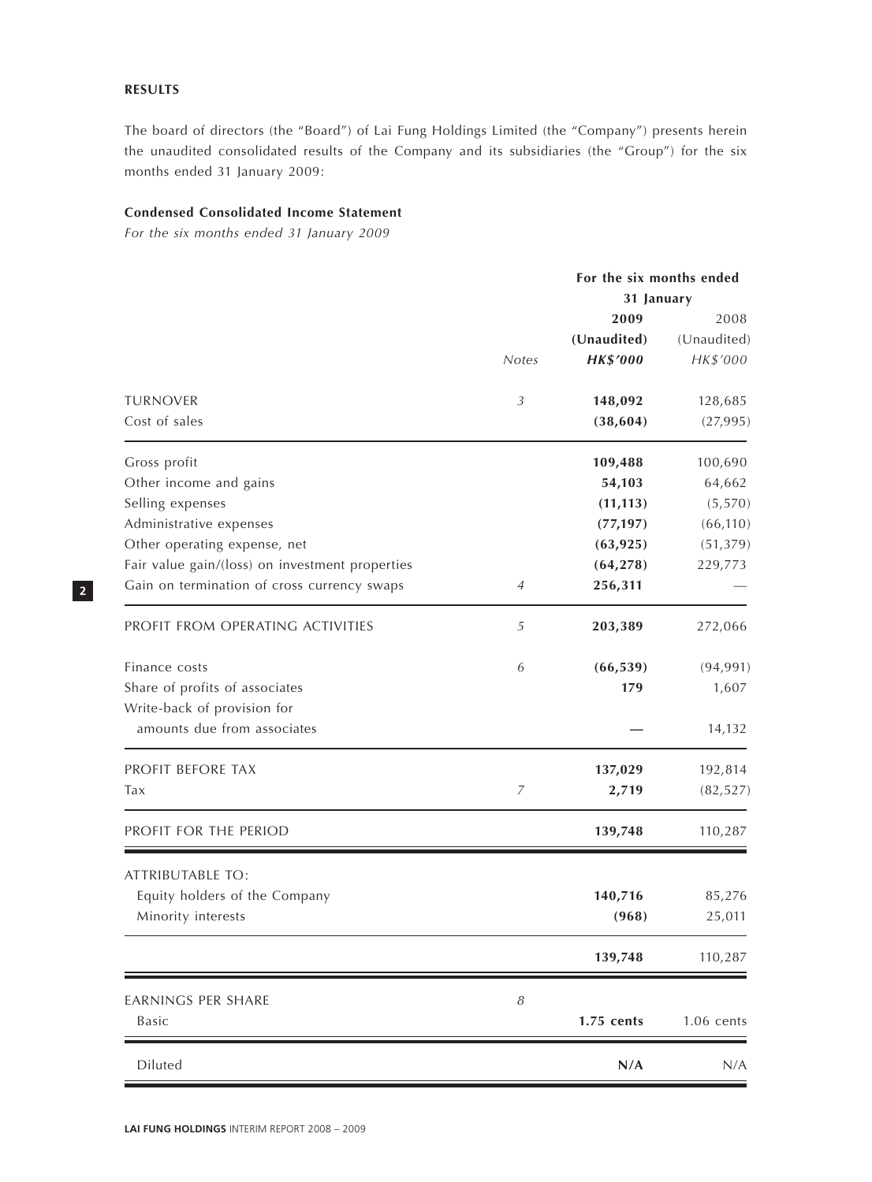# **RESULTS**

The board of directors (the "Board") of Lai Fung Holdings Limited (the "Company") presents herein the unaudited consolidated results of the Company and its subsidiaries (the "Group") for the six months ended 31 January 2009:

# **Condensed Consolidated Income Statement**

*For the six months ended 31 January 2009*

|                                                 |                | For the six months ended |              |  |
|-------------------------------------------------|----------------|--------------------------|--------------|--|
|                                                 |                | 31 January               |              |  |
|                                                 |                | 2009                     | 2008         |  |
|                                                 |                | (Unaudited)              | (Unaudited)  |  |
|                                                 | <b>Notes</b>   | <b>HK\$'000</b>          | HK\$'000     |  |
| <b>TURNOVER</b>                                 | $\mathfrak{Z}$ | 148,092                  | 128,685      |  |
| Cost of sales                                   |                | (38, 604)                | (27,995)     |  |
| Gross profit                                    |                | 109,488                  | 100,690      |  |
| Other income and gains                          |                | 54,103                   | 64,662       |  |
| Selling expenses                                |                | (11, 113)                | (5, 570)     |  |
| Administrative expenses                         |                | (77, 197)                | (66, 110)    |  |
| Other operating expense, net                    |                | (63, 925)                | (51, 379)    |  |
| Fair value gain/(loss) on investment properties |                | (64, 278)                | 229,773      |  |
| Gain on termination of cross currency swaps     | 4              | 256,311                  |              |  |
| PROFIT FROM OPERATING ACTIVITIES                | 5              | 203,389                  | 272,066      |  |
| Finance costs                                   | 6              | (66, 539)                | (94, 991)    |  |
| Share of profits of associates                  |                | 179                      | 1,607        |  |
| Write-back of provision for                     |                |                          |              |  |
| amounts due from associates                     |                |                          | 14,132       |  |
| PROFIT BEFORE TAX                               |                | 137,029                  | 192,814      |  |
| Tax                                             | 7              | 2,719                    | (82, 527)    |  |
| PROFIT FOR THE PERIOD                           |                | 139,748                  | 110,287      |  |
| ATTRIBUTABLE TO:                                |                |                          |              |  |
| Equity holders of the Company                   |                | 140,716                  | 85,276       |  |
| Minority interests                              |                | (968)                    | 25,011       |  |
|                                                 |                | 139,748                  | 110,287      |  |
| EARNINGS PER SHARE                              | 8              |                          |              |  |
| Basic                                           |                | 1.75 cents               | $1.06$ cents |  |
| Diluted                                         |                | N/A                      | N/A          |  |
|                                                 |                |                          |              |  |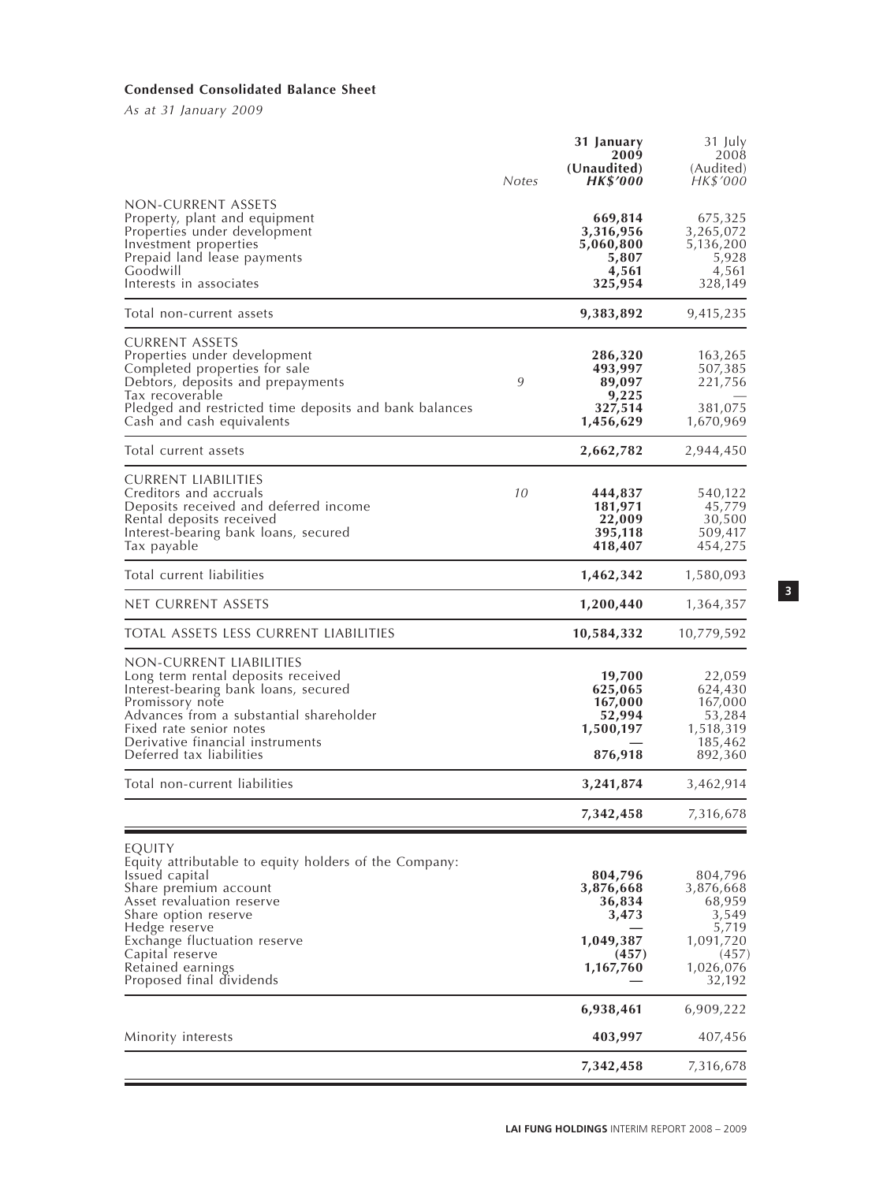# **Condensed Consolidated Balance Sheet**

*As at 31 January 2009*

|                                                                                                                                                                                                                                                                                      | Notes | 31 January<br>2009<br>(Unaudited)<br><b>HK\$'000</b>                       | 31 July<br>2008<br>(Audited)<br>HK\$'000                                                      |
|--------------------------------------------------------------------------------------------------------------------------------------------------------------------------------------------------------------------------------------------------------------------------------------|-------|----------------------------------------------------------------------------|-----------------------------------------------------------------------------------------------|
| NON-CURRENT ASSETS<br>Property, plant and equipment<br>Properties under development<br>Investment properties<br>Prepaid land lease payments<br>Goodwill<br>Interests in associates                                                                                                   |       | 669,814<br>3,316,956<br>5,060,800<br>5,807<br>4,561<br>325,954             | 675,325<br>3,265,072<br>5,136,200<br>5,928<br>4,561<br>328,149                                |
| lotal non-current assets                                                                                                                                                                                                                                                             |       | 9,383,892                                                                  | 9,415,235                                                                                     |
| <b>CURRENT ASSETS</b><br>Properties under development<br>Completed properties for sale<br>Debtors, deposits and prepayments<br>Tax recoverable<br>Pledged and restricted time deposits and bank balances<br>Cash and cash equivalents                                                | 9     | 286,320<br>493,997<br>89,097<br>9,225<br>327,514<br>1,456,629              | 163,265<br>507,385<br>221,756<br>381,075<br>1,670,969                                         |
| Total current assets                                                                                                                                                                                                                                                                 |       | 2,662,782                                                                  | 2,944,450                                                                                     |
| <b>CURRENT LIABILITIES</b><br>Creditors and accruals<br>Deposits received and deferred income<br>Rental deposits received<br>Interest-bearing bank loans, secured<br>Tax payable                                                                                                     | 10    | 444,837<br>181,971<br>22,009<br>395,118<br>418,407                         | 540,122<br>45,779<br>30,500<br>509,417<br>454,275                                             |
| Total current liabilities                                                                                                                                                                                                                                                            |       | 1,462,342                                                                  | 1,580,093                                                                                     |
| NET CURRENT ASSETS                                                                                                                                                                                                                                                                   |       | 1,200,440                                                                  | 1,364,357                                                                                     |
| TOTAL ASSETS LESS CURRENT LIABILITIES                                                                                                                                                                                                                                                |       | 10,584,332                                                                 | 10,779,592                                                                                    |
| NON-CURRENT LIABILITIES<br>Long term rental deposits received<br>Interest-bearing bank loans, secured<br>Promissory note<br>Advances from a substantial shareholder<br>Fixed rate senior notes<br>Derivative financial instruments<br>Deferred tax liabilities                       |       | 19,700<br>625,065<br>167,000<br>52,994<br>1,500,197<br>876,918             | 22,059<br>624,430<br>167,000<br>53,284<br>1,518,319<br>185,462<br>892,360                     |
| Total non-current liabilities                                                                                                                                                                                                                                                        |       | 3,241,874                                                                  | 3,462,914                                                                                     |
|                                                                                                                                                                                                                                                                                      |       | 7,342,458                                                                  | 7,316,678                                                                                     |
| EQUITY<br>Equity attributable to equity holders of the Company:<br>Issued capital<br>Share premium account<br>Asset revaluation reserve<br>Share option reserve<br>Hedge reserve<br>Exchange fluctuation reserve<br>Capital reserve<br>Retained earnings<br>Proposed final dividends |       | 804,796<br>3,876,668<br>36,834<br>3,473<br>1,049,387<br>(457)<br>1,167,760 | 804,796<br>3,876,668<br>68,959<br>3,549<br>5,719<br>1,091,720<br>(457)<br>1,026,076<br>32,192 |
|                                                                                                                                                                                                                                                                                      |       | 6,938,461                                                                  | 6,909,222                                                                                     |
| Minority interests                                                                                                                                                                                                                                                                   |       | 403,997                                                                    | 407,456                                                                                       |
|                                                                                                                                                                                                                                                                                      |       | 7,342,458                                                                  | 7,316,678                                                                                     |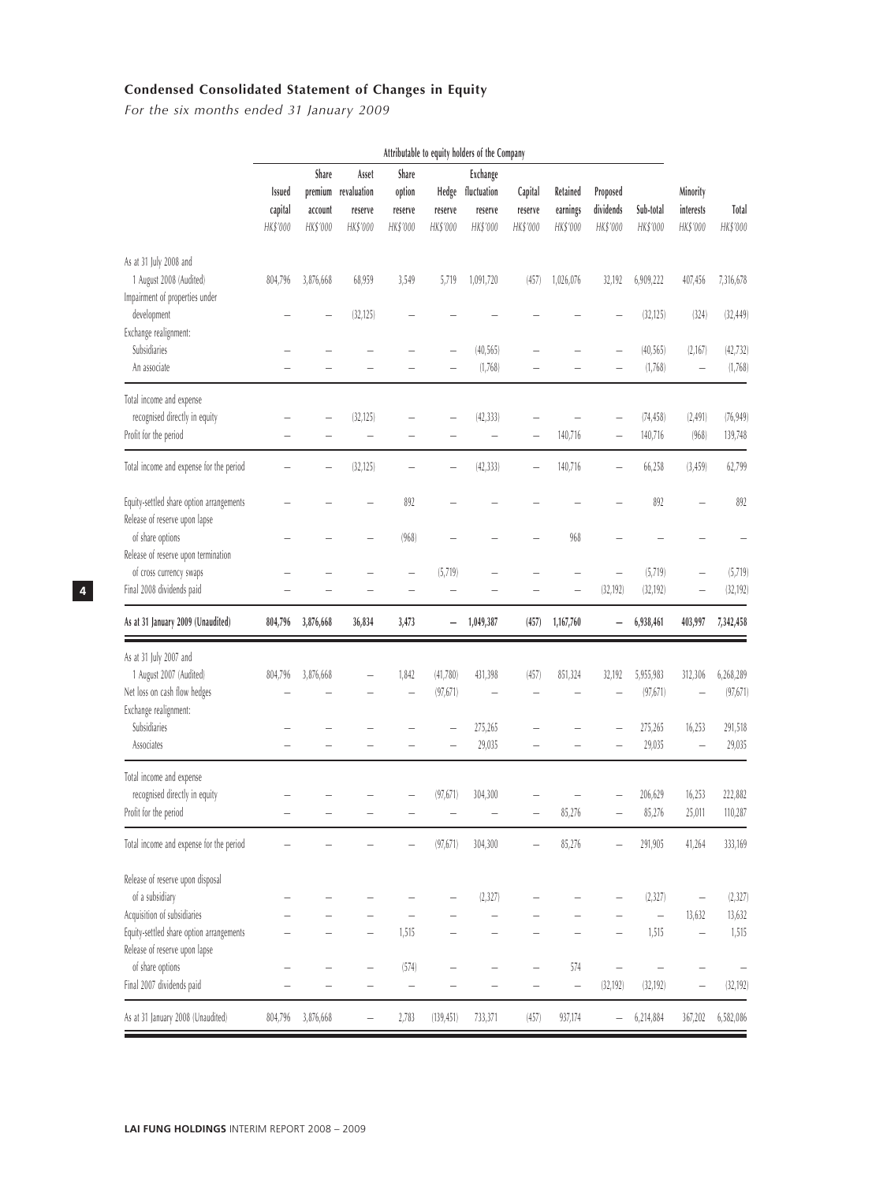# **Condensed Consolidated Statement of Changes in Equity**

*For the six months ended 31 January 2009*

|                                                                                                                                                                 |                                      |                              |                                                     |                                        |                              | Attributable to equity holders of the Company  |                                |                                  |                                   |                                               |                                    |                             |
|-----------------------------------------------------------------------------------------------------------------------------------------------------------------|--------------------------------------|------------------------------|-----------------------------------------------------|----------------------------------------|------------------------------|------------------------------------------------|--------------------------------|----------------------------------|-----------------------------------|-----------------------------------------------|------------------------------------|-----------------------------|
|                                                                                                                                                                 | <b>Issued</b><br>capital<br>HK\$'000 | Share<br>account<br>HK\$'000 | Asset<br>premium revaluation<br>reserve<br>HK\$'000 | Share<br>option<br>reserve<br>HK\$'000 | Hedge<br>reserve<br>HK\$'000 | Exchange<br>fluctuation<br>reserve<br>HK\$'000 | Capital<br>reserve<br>HK\$'000 | Retained<br>earnings<br>HK\$'000 | Proposed<br>dividends<br>HK\$'000 | Sub-total<br>HK\$'000                         | Minority<br>interests<br>HK\$'000  | Total<br>HK\$'000           |
| As at 31 July 2008 and<br>1 August 2008 (Audited)<br>Impairment of properties under                                                                             | 804,796                              | 3,876,668                    | 68,959                                              | 3,549                                  | 5,719                        | 1,091,720                                      | (457)                          | 1,026,076                        | 32,192                            | 6,909,222                                     | 407,456                            | 7,316,678                   |
| development<br>Exchange realignment:                                                                                                                            |                                      |                              | (32, 125)                                           |                                        |                              |                                                |                                |                                  |                                   | (32, 125)                                     | (324)                              | (32, 449)                   |
| Subsidiaries<br>An associate                                                                                                                                    |                                      |                              |                                                     |                                        |                              | (40, 565)<br>(1,768)                           |                                |                                  |                                   | (40, 565)<br>(1,768)                          | (2,167)                            | (42, 732)<br>(1,768)        |
| Total income and expense<br>recognised directly in equity<br>Profit for the period                                                                              |                                      |                              | (32, 125)<br>$\overline{\phantom{0}}$               |                                        |                              | (42, 333)                                      |                                | 140,716                          |                                   | (74, 458)<br>140,716                          | (2, 491)<br>(968)                  | (76, 949)<br>139,748        |
| Total income and expense for the period                                                                                                                         |                                      |                              | (32, 125)                                           |                                        |                              | (42, 333)                                      |                                | 140,716                          |                                   | 66,258                                        | (3, 459)                           | 62,799                      |
| Equity-settled share option arrangements<br>Release of reserve upon lapse                                                                                       |                                      |                              |                                                     | 892                                    |                              |                                                |                                |                                  |                                   | 892                                           |                                    | 892                         |
| of share options<br>Release of reserve upon termination<br>of cross currency swaps                                                                              |                                      |                              |                                                     | (968)                                  | (5, 719)                     |                                                |                                | 968                              |                                   | (5, 719)                                      |                                    | (5,719)                     |
| Final 2008 dividends paid                                                                                                                                       |                                      |                              |                                                     |                                        |                              |                                                |                                |                                  | (32, 192)                         | (32, 192)                                     |                                    | (32, 192)                   |
| As at 31 January 2009 (Unaudited)                                                                                                                               | 804,796                              | 3,876,668                    | 36,834                                              | 3,473                                  |                              | 1,049,387                                      | (457)                          | 1,167,760                        |                                   | 6,938,461                                     | 403,997                            | 7,342,458                   |
| As at 31 July 2007 and<br>1 August 2007 (Audited)<br>Net loss on cash flow hedges<br>Exchange realignment:                                                      | 804,796                              | 3,876,668                    |                                                     | 1,842<br>$\overline{\phantom{0}}$      | (41,780)<br>(97, 671)        | 431,398                                        | (457)                          | 851,324                          | 32,192                            | 5,955,983<br>(97, 671)                        | 312,306                            | 6,268,289<br>(97, 671)      |
| Subsidiaries<br>Associates                                                                                                                                      |                                      |                              |                                                     |                                        |                              | 275,265<br>29,035                              |                                |                                  |                                   | 275,265<br>29,035                             | 16,253                             | 291,518<br>29,035           |
| Total income and expense<br>recognised directly in equity<br>Profit for the period                                                                              |                                      |                              |                                                     |                                        | (97, 671)                    | 304.300                                        |                                | 85,276                           |                                   | 206,629<br>85,276                             | 16,253<br>25,011                   | 222,882<br>110,287          |
| Total income and expense for the period                                                                                                                         |                                      |                              |                                                     |                                        | (97, 671)                    | 304,300                                        |                                | 85,276                           |                                   | 291,905                                       | 41,264                             | 333,169                     |
| Release of reserve upon disposal<br>of a subsidiary<br>Acquisition of subsidiaries<br>Equity-settled share option arrangements<br>Release of reserve upon lapse |                                      |                              |                                                     | 1,515                                  |                              | (2, 327)                                       |                                |                                  |                                   | (2, 327)<br>$\overline{\phantom{0}}$<br>1,515 | 13,632<br>$\overline{\phantom{0}}$ | (2, 327)<br>13,632<br>1,515 |
| of share options<br>Final 2007 dividends paid                                                                                                                   |                                      |                              |                                                     | (574)<br>$\qquad \qquad -$             |                              |                                                |                                | 574<br>$\overline{\phantom{0}}$  | (32, 192)                         | (32, 192)                                     |                                    | (32, 192)                   |
| As at 31 January 2008 (Unaudited)                                                                                                                               | 804,796                              | 3,876,668                    |                                                     | 2,783                                  | (139, 451)                   | 733,371                                        | (457)                          | 937,174                          |                                   | 6,214,884                                     | 367,202                            | 6,582,086                   |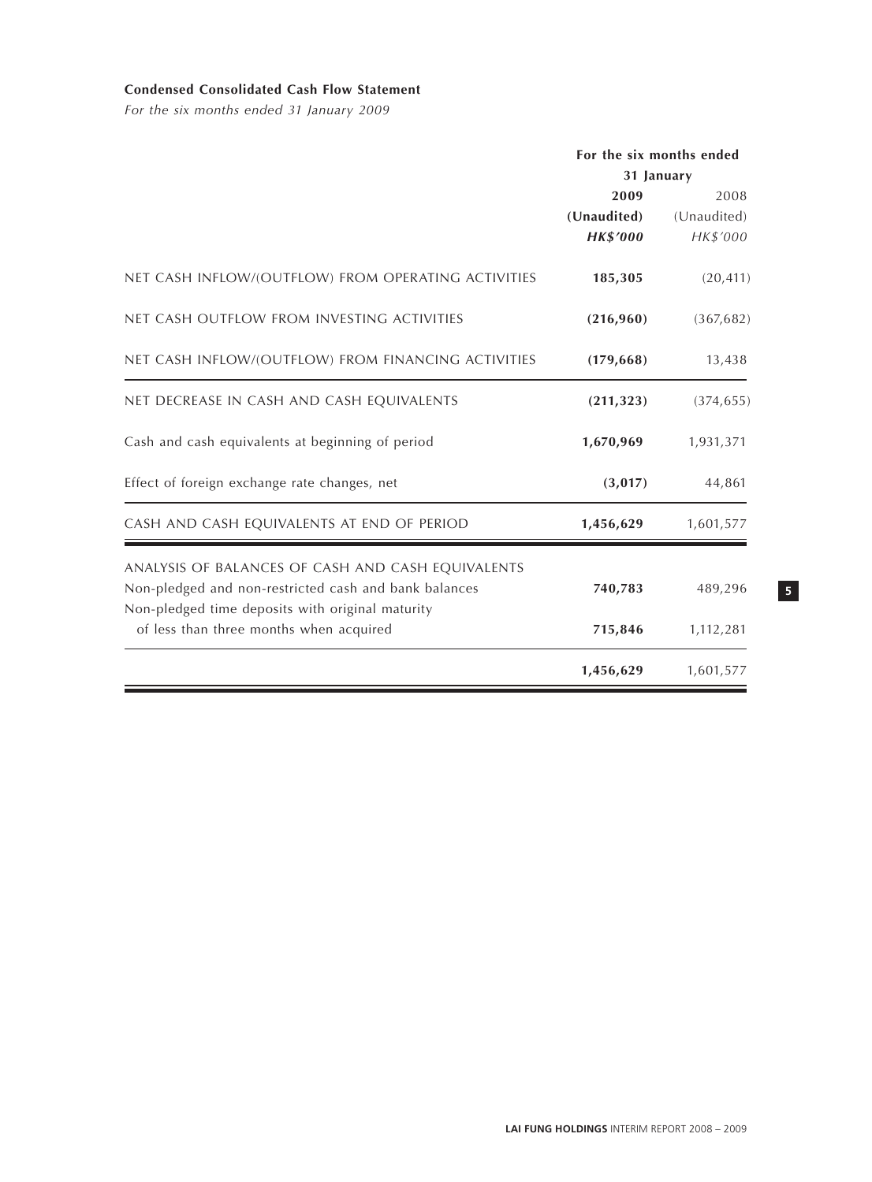# **Condensed Consolidated Cash Flow Statement**

*For the six months ended 31 January 2009*

|                                                       | For the six months ended |             |
|-------------------------------------------------------|--------------------------|-------------|
|                                                       | 31 January               |             |
|                                                       | 2009                     | 2008        |
|                                                       | (Unaudited)              | (Unaudited) |
|                                                       | <b>HK\$'000</b>          | HK\$'000    |
| NET CASH INFLOW/(OUTFLOW) FROM OPERATING ACTIVITIES   | 185,305                  | (20, 411)   |
| NET CASH OUTFLOW FROM INVESTING ACTIVITIES            | (216,960)                | (367, 682)  |
| NET CASH INFLOW/(OUTFLOW) FROM FINANCING ACTIVITIES   | (179, 668)               | 13,438      |
| NET DECREASE IN CASH AND CASH EQUIVALENTS             | (211, 323)               | (374, 655)  |
| Cash and cash equivalents at beginning of period      | 1,670,969                | 1,931,371   |
| Effect of foreign exchange rate changes, net          | (3,017)                  | 44,861      |
| CASH AND CASH EQUIVALENTS AT END OF PERIOD            | 1,456,629                | 1,601,577   |
| ANALYSIS OF BALANCES OF CASH AND CASH EQUIVALENTS     |                          |             |
| Non-pledged and non-restricted cash and bank balances | 740,783                  | 489,296     |
| Non-pledged time deposits with original maturity      |                          |             |
| of less than three months when acquired               | 715,846                  | 1,112,281   |
|                                                       | 1,456,629                | 1,601,577   |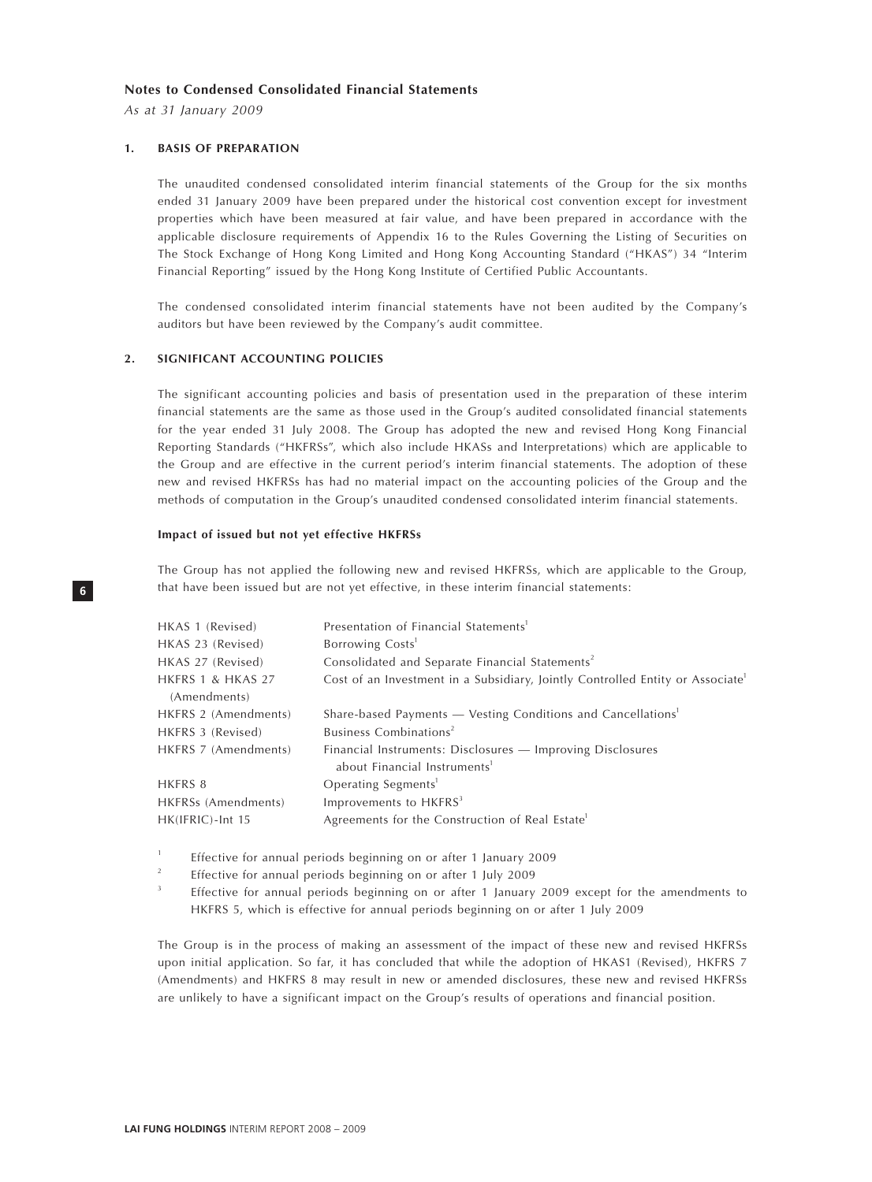#### **Notes to Condensed Consolidated Financial Statements**

*As at 31 January 2009*

#### **1. BASIS OF PREPARATION**

The unaudited condensed consolidated interim financial statements of the Group for the six months ended 31 January 2009 have been prepared under the historical cost convention except for investment properties which have been measured at fair value, and have been prepared in accordance with the applicable disclosure requirements of Appendix 16 to the Rules Governing the Listing of Securities on The Stock Exchange of Hong Kong Limited and Hong Kong Accounting Standard ("HKAS") 34 "Interim Financial Reporting" issued by the Hong Kong Institute of Certified Public Accountants.

The condensed consolidated interim financial statements have not been audited by the Company's auditors but have been reviewed by the Company's audit committee.

#### **2. SIGNIFICANT ACCOUNTING POLICIES**

The significant accounting policies and basis of presentation used in the preparation of these interim financial statements are the same as those used in the Group's audited consolidated financial statements for the year ended 31 July 2008. The Group has adopted the new and revised Hong Kong Financial Reporting Standards ("HKFRSs", which also include HKASs and Interpretations) which are applicable to the Group and are effective in the current period's interim financial statements. The adoption of these new and revised HKFRSs has had no material impact on the accounting policies of the Group and the methods of computation in the Group's unaudited condensed consolidated interim financial statements.

#### **Impact of issued but not yet effective HKFRSs**

The Group has not applied the following new and revised HKFRSs, which are applicable to the Group, that have been issued but are not yet effective, in these interim financial statements:

| HKAS 1 (Revised)     | Presentation of Financial Statements <sup>1</sup>                                          |
|----------------------|--------------------------------------------------------------------------------------------|
| HKAS 23 (Revised)    | Borrowing Costs <sup>1</sup>                                                               |
| HKAS 27 (Revised)    | Consolidated and Separate Financial Statements <sup>2</sup>                                |
| HKFRS 1 & HKAS 27    | Cost of an Investment in a Subsidiary, Jointly Controlled Entity or Associate <sup>1</sup> |
| (Amendments)         |                                                                                            |
| HKFRS 2 (Amendments) | Share-based Payments - Vesting Conditions and Cancellations <sup>1</sup>                   |
| HKFRS 3 (Revised)    | Business Combinations <sup>2</sup>                                                         |
| HKFRS 7 (Amendments) | Financial Instruments: Disclosures — Improving Disclosures                                 |
|                      | about Financial Instruments <sup>1</sup>                                                   |
| HKFRS 8              | Operating Segments <sup>1</sup>                                                            |
| HKFRSs (Amendments)  | Improvements to HKFRS <sup>3</sup>                                                         |
| HK(IFRIC)-Int 15     | Agreements for the Construction of Real Estate <sup>1</sup>                                |
|                      |                                                                                            |

1 Effective for annual periods beginning on or after 1 January 2009

 $\overline{2}$ Effective for annual periods beginning on or after 1 July 2009

3 Effective for annual periods beginning on or after 1 January 2009 except for the amendments to HKFRS 5, which is effective for annual periods beginning on or after 1 July 2009

The Group is in the process of making an assessment of the impact of these new and revised HKFRSs upon initial application. So far, it has concluded that while the adoption of HKAS1 (Revised), HKFRS 7 (Amendments) and HKFRS 8 may result in new or amended disclosures, these new and revised HKFRSs are unlikely to have a significant impact on the Group's results of operations and financial position.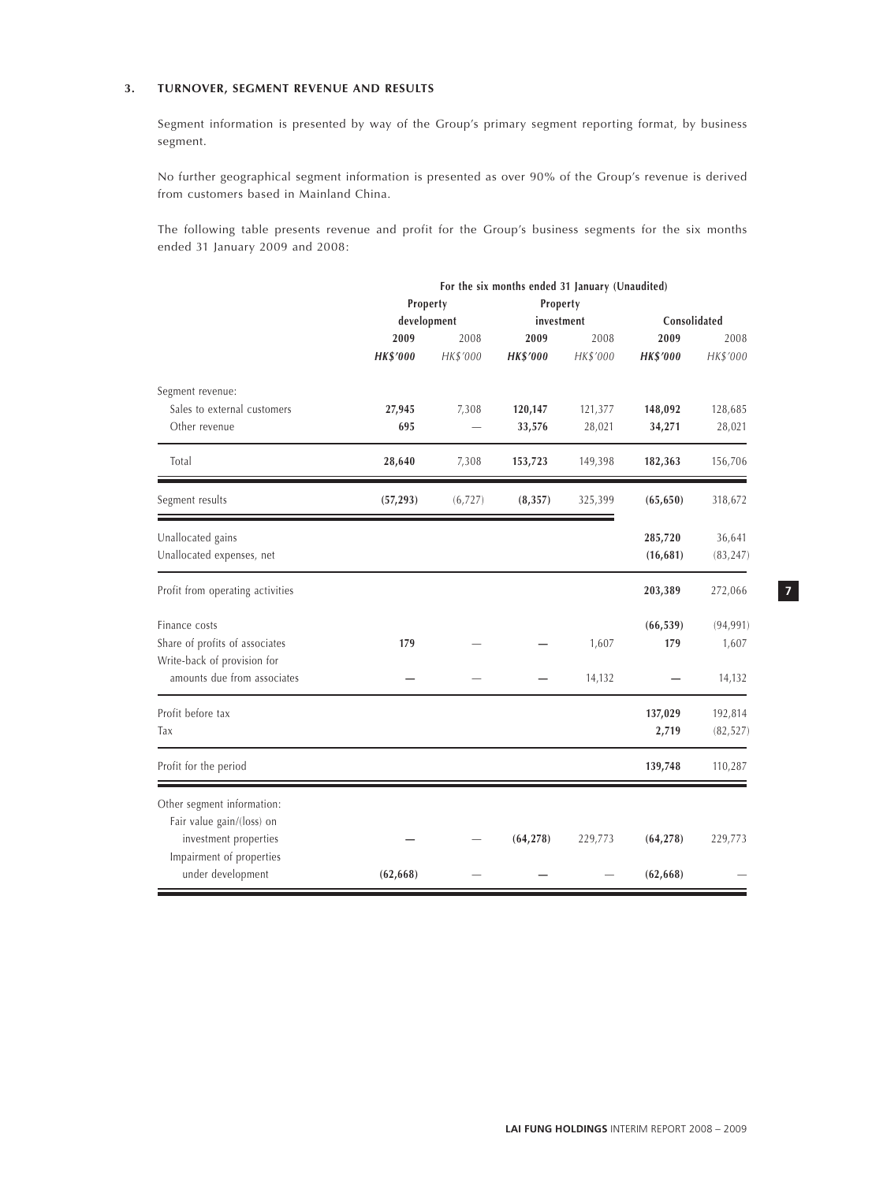# **3. TURNOVER, SEGMENT REVENUE AND RESULTS**

Segment information is presented by way of the Group's primary segment reporting format, by business segment.

No further geographical segment information is presented as over 90% of the Group's revenue is derived from customers based in Mainland China.

The following table presents revenue and profit for the Group's business segments for the six months ended 31 January 2009 and 2008:

|                                  |                 |          | For the six months ended 31 January (Unaudited) |          |                 |           |  |
|----------------------------------|-----------------|----------|-------------------------------------------------|----------|-----------------|-----------|--|
|                                  | Property        |          | Property                                        |          |                 |           |  |
|                                  | development     |          | investment                                      |          | Consolidated    |           |  |
|                                  | 2009            | 2008     | 2009                                            | 2008     | 2009            | 2008      |  |
|                                  | <b>HK\$'000</b> | HK\$'000 | <b>HK\$'000</b>                                 | HK\$'000 | <b>HK\$'000</b> | HK\$'000  |  |
| Segment revenue:                 |                 |          |                                                 |          |                 |           |  |
| Sales to external customers      | 27,945          | 7,308    | 120,147                                         | 121,377  | 148,092         | 128,685   |  |
| Other revenue                    | 695             |          | 33,576                                          | 28,021   | 34,271          | 28,021    |  |
| Total                            | 28,640          | 7,308    | 153,723                                         | 149,398  | 182,363         | 156,706   |  |
| Segment results                  | (57, 293)       | (6,727)  | (8, 357)                                        | 325,399  | (65, 650)       | 318,672   |  |
| Unallocated gains                |                 |          |                                                 |          | 285,720         | 36,641    |  |
| Unallocated expenses, net        |                 |          |                                                 |          | (16, 681)       | (83, 247) |  |
| Profit from operating activities |                 |          |                                                 |          | 203,389         | 272,066   |  |
| Finance costs                    |                 |          |                                                 |          | (66, 539)       | (94, 991) |  |
| Share of profits of associates   | 179             |          |                                                 | 1,607    | 179             | 1,607     |  |
| Write-back of provision for      |                 |          |                                                 |          |                 |           |  |
| amounts due from associates      |                 |          |                                                 | 14,132   |                 | 14,132    |  |
| Profit before tax                |                 |          |                                                 |          | 137,029         | 192,814   |  |
| Tax                              |                 |          |                                                 |          | 2,719           | (82, 527) |  |
| Profit for the period            |                 |          |                                                 |          | 139,748         | 110,287   |  |
| Other segment information:       |                 |          |                                                 |          |                 |           |  |
| Fair value gain/(loss) on        |                 |          |                                                 |          |                 |           |  |
| investment properties            |                 |          | (64, 278)                                       | 229,773  | (64, 278)       | 229,773   |  |
| Impairment of properties         |                 |          |                                                 |          |                 |           |  |
| under development                | (62, 668)       |          |                                                 |          | (62, 668)       |           |  |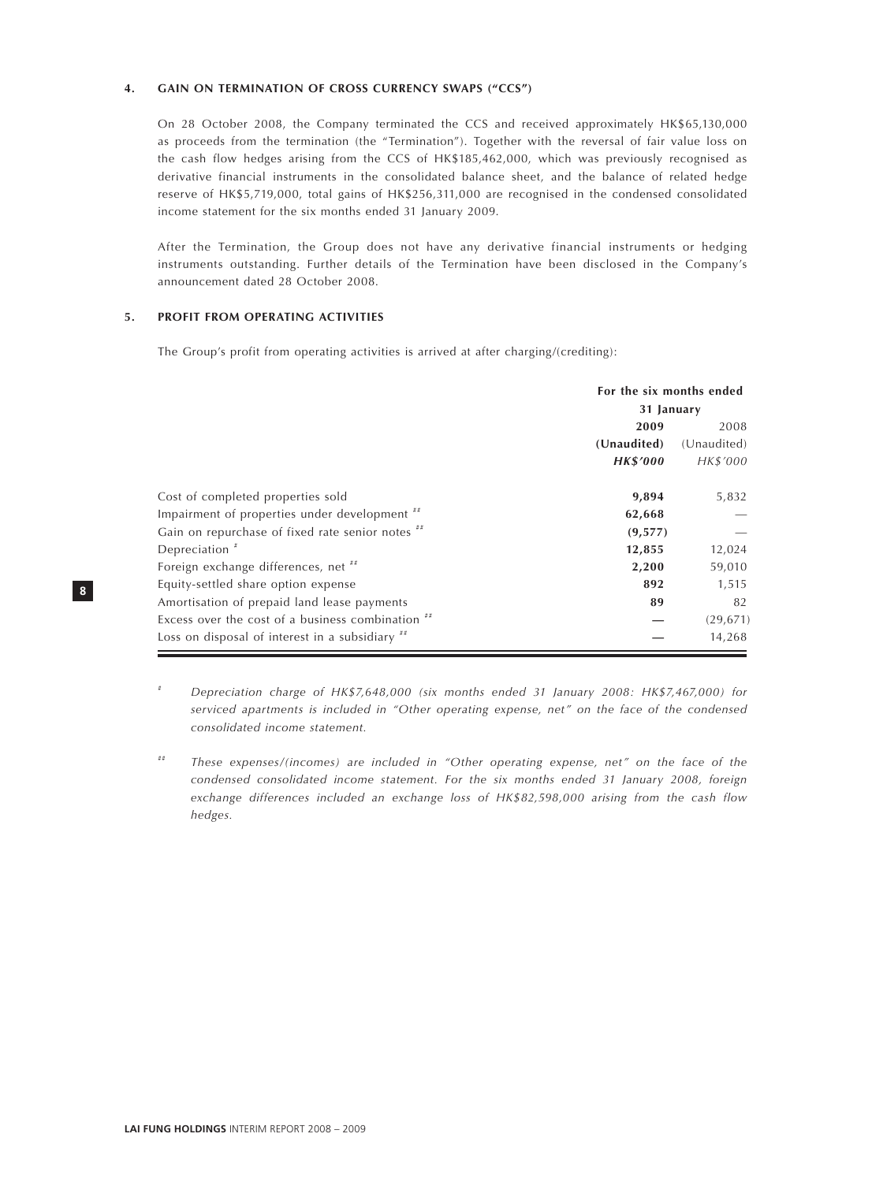#### **4. GAIN ON TERMINATION OF CROSS CURRENCY SWAPS ("CCS")**

On 28 October 2008, the Company terminated the CCS and received approximately HK\$65,130,000 as proceeds from the termination (the "Termination"). Together with the reversal of fair value loss on the cash flow hedges arising from the CCS of HK\$185,462,000, which was previously recognised as derivative financial instruments in the consolidated balance sheet, and the balance of related hedge reserve of HK\$5,719,000, total gains of HK\$256,311,000 are recognised in the condensed consolidated income statement for the six months ended 31 January 2009.

After the Termination, the Group does not have any derivative financial instruments or hedging instruments outstanding. Further details of the Termination have been disclosed in the Company's announcement dated 28 October 2008.

# **5. PROFIT FROM OPERATING ACTIVITIES**

The Group's profit from operating activities is arrived at after charging/(crediting):

|                                                   | For the six months ended |             |  |
|---------------------------------------------------|--------------------------|-------------|--|
|                                                   | 31 January               |             |  |
|                                                   | 2009                     |             |  |
|                                                   | (Unaudited)              | (Unaudited) |  |
|                                                   | <b>HK\$'000</b>          | HK\$'000    |  |
| Cost of completed properties sold                 | 9,894                    | 5,832       |  |
| Impairment of properties under development "      | 62,668                   |             |  |
| Gain on repurchase of fixed rate senior notes "   | (9, 577)                 |             |  |
| Depreciation $*$                                  | 12,855                   | 12,024      |  |
| Foreign exchange differences, net "               | 2,200                    | 59,010      |  |
| Equity-settled share option expense               | 892                      | 1,515       |  |
| Amortisation of prepaid land lease payments       | 89                       | 82          |  |
| Excess over the cost of a business combination ## |                          | (29, 671)   |  |
| Loss on disposal of interest in a subsidiary "    |                          | 14,268      |  |

# *Depreciation charge of HK\$7,648,000 (six months ended 31 January 2008: HK\$7,467,000) for serviced apartments is included in "Other operating expense, net" on the face of the condensed consolidated income statement.*

## *These expenses/(incomes) are included in "Other operating expense, net" on the face of the condensed consolidated income statement. For the six months ended 31 January 2008, foreign exchange differences included an exchange loss of HK\$82,598,000 arising from the cash flow hedges.*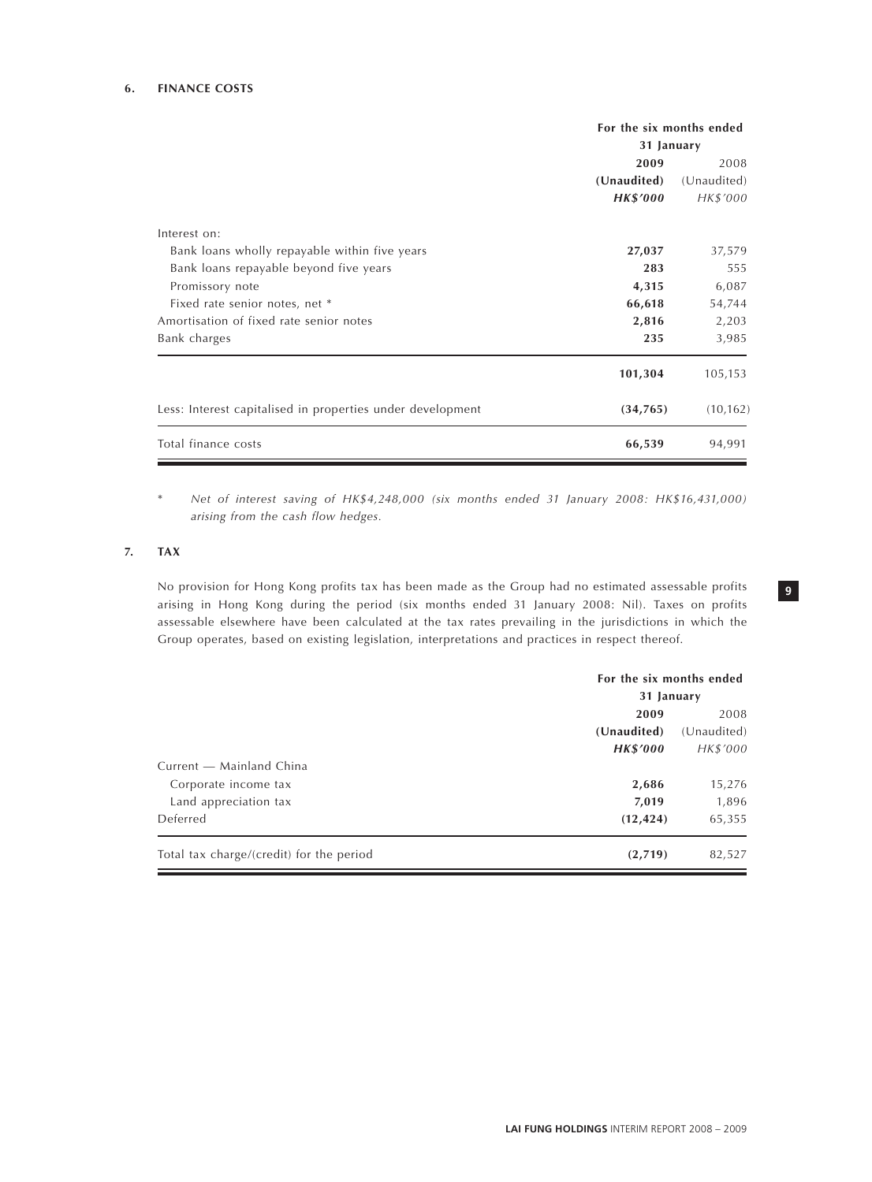# **6. FINANCE COSTS**

|                                                            | For the six months ended<br>31 January |             |  |
|------------------------------------------------------------|----------------------------------------|-------------|--|
|                                                            | 2009                                   | 2008        |  |
|                                                            | (Unaudited)                            | (Unaudited) |  |
|                                                            | <b>HK\$'000</b>                        | HK\$'000    |  |
| Interest on:                                               |                                        |             |  |
| Bank loans wholly repayable within five years              | 27,037                                 | 37,579      |  |
| Bank loans repayable beyond five years                     | 283                                    | 555         |  |
| Promissory note                                            | 4,315                                  | 6,087       |  |
| Fixed rate senior notes, net *                             | 66,618                                 | 54,744      |  |
| Amortisation of fixed rate senior notes                    | 2,816                                  | 2,203       |  |
| Bank charges                                               | 235                                    | 3,985       |  |
|                                                            | 101,304                                | 105,153     |  |
| Less: Interest capitalised in properties under development | (34,765)                               | (10, 162)   |  |
| Total finance costs                                        | 66,539                                 | 94,991      |  |

\* *Net of interest saving of HK\$4,248,000 (six months ended 31 January 2008: HK\$16,431,000) arising from the cash flow hedges.*

## **7. TAX**

No provision for Hong Kong profits tax has been made as the Group had no estimated assessable profits arising in Hong Kong during the period (six months ended 31 January 2008: Nil). Taxes on profits assessable elsewhere have been calculated at the tax rates prevailing in the jurisdictions in which the Group operates, based on existing legislation, interpretations and practices in respect thereof.

|                                          | For the six months ended |             |  |  |
|------------------------------------------|--------------------------|-------------|--|--|
|                                          | 31 January               |             |  |  |
|                                          | 2009                     |             |  |  |
|                                          | (Unaudited)              | (Unaudited) |  |  |
|                                          | <b>HK\$'000</b>          | HK\$'000    |  |  |
| Current — Mainland China                 |                          |             |  |  |
| Corporate income tax                     | 2,686                    | 15,276      |  |  |
| Land appreciation tax                    | 7,019                    | 1,896       |  |  |
| Deferred                                 | (12, 424)                | 65,355      |  |  |
| Total tax charge/(credit) for the period | (2,719)                  | 82,527      |  |  |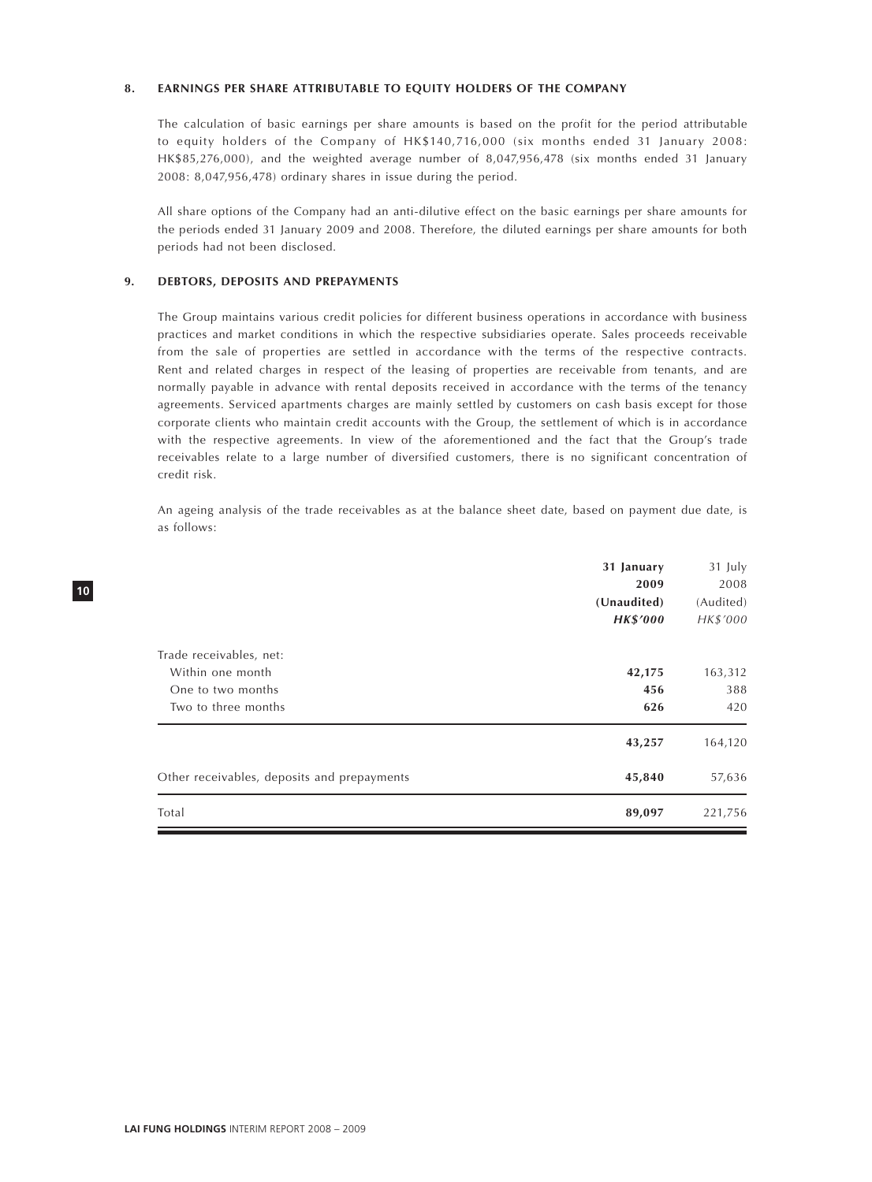#### **8. EARNINGS PER SHARE ATTRIBUTABLE TO EQUITY HOLDERS OF THE COMPANY**

The calculation of basic earnings per share amounts is based on the profit for the period attributable to equity holders of the Company of HK\$140,716,000 (six months ended 31 January 2008: HK\$85,276,000), and the weighted average number of 8,047,956,478 (six months ended 31 January 2008: 8,047,956,478) ordinary shares in issue during the period.

All share options of the Company had an anti-dilutive effect on the basic earnings per share amounts for the periods ended 31 January 2009 and 2008. Therefore, the diluted earnings per share amounts for both periods had not been disclosed.

#### **9. DEBTORS, DEPOSITS AND PREPAYMENTS**

The Group maintains various credit policies for different business operations in accordance with business practices and market conditions in which the respective subsidiaries operate. Sales proceeds receivable from the sale of properties are settled in accordance with the terms of the respective contracts. Rent and related charges in respect of the leasing of properties are receivable from tenants, and are normally payable in advance with rental deposits received in accordance with the terms of the tenancy agreements. Serviced apartments charges are mainly settled by customers on cash basis except for those corporate clients who maintain credit accounts with the Group, the settlement of which is in accordance with the respective agreements. In view of the aforementioned and the fact that the Group's trade receivables relate to a large number of diversified customers, there is no significant concentration of credit risk.

An ageing analysis of the trade receivables as at the balance sheet date, based on payment due date, is as follows:

| 31 January                                  |        | 31 July   |
|---------------------------------------------|--------|-----------|
|                                             | 2009   | 2008      |
| (Unaudited)                                 |        | (Audited) |
| <b>HK\$'000</b>                             |        | HK\$'000  |
| Trade receivables, net:                     |        |           |
| Within one month                            | 42,175 | 163,312   |
| One to two months                           | 456    | 388       |
| Two to three months                         | 626    | 420       |
|                                             | 43,257 | 164,120   |
| Other receivables, deposits and prepayments | 45,840 | 57,636    |
| Total                                       | 89,097 | 221,756   |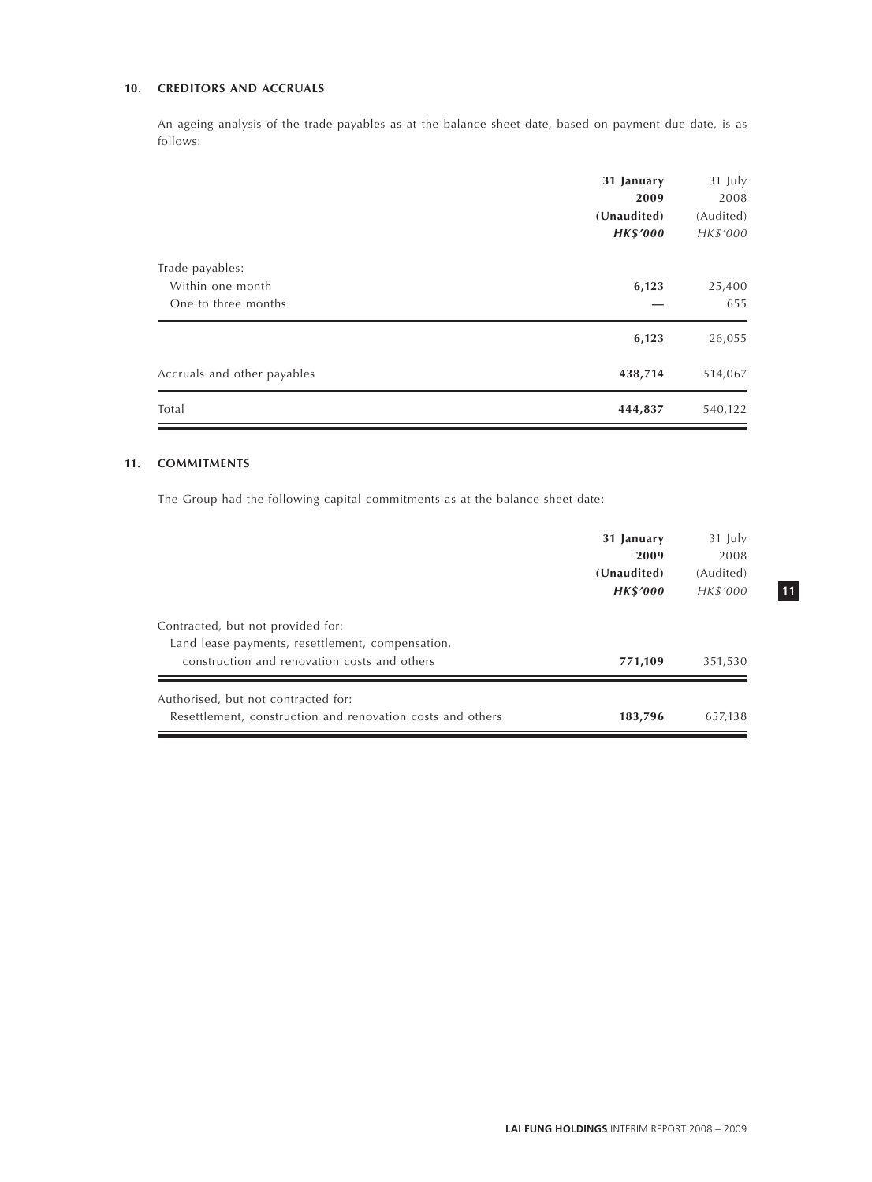# **10. CREDITORS AND ACCRUALS**

An ageing analysis of the trade payables as at the balance sheet date, based on payment due date, is as follows:

|                             | 31 January<br>2009<br>(Unaudited)<br><b>HK\$'000</b> | 31 July<br>2008<br>(Audited)<br>HK\$'000 |
|-----------------------------|------------------------------------------------------|------------------------------------------|
| Trade payables:             |                                                      |                                          |
| Within one month            | 6,123                                                | 25,400                                   |
| One to three months         |                                                      | 655                                      |
|                             | 6,123                                                | 26,055                                   |
| Accruals and other payables | 438,714                                              | 514,067                                  |
| Total                       | 444,837                                              | 540,122                                  |

# **11. COMMITMENTS**

The Group had the following capital commitments as at the balance sheet date:

|                                                            | 31 January      | 31 July   |
|------------------------------------------------------------|-----------------|-----------|
|                                                            | 2009            | 2008      |
|                                                            | (Unaudited)     | (Audited) |
|                                                            | <b>HK\$'000</b> | HK\$'000  |
| Contracted, but not provided for:                          |                 |           |
| Land lease payments, resettlement, compensation,           |                 |           |
| construction and renovation costs and others               | 771,109         | 351,530   |
| Authorised, but not contracted for:                        |                 |           |
| Resettlement, construction and renovation costs and others | 183,796         | 657,138   |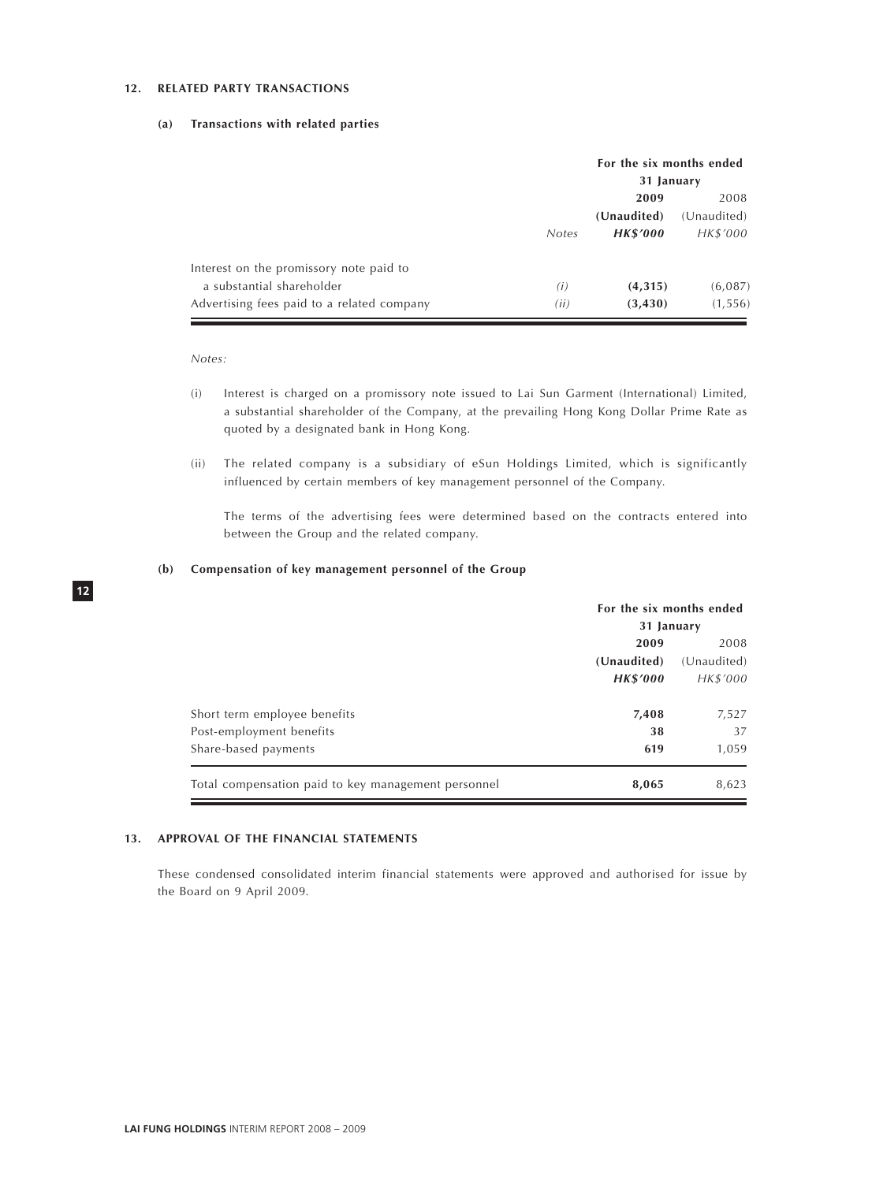#### **12. RELATED PARTY TRANSACTIONS**

#### **(a) Transactions with related parties**

|                                            |              | For the six months ended<br>31 January |             |  |
|--------------------------------------------|--------------|----------------------------------------|-------------|--|
|                                            |              | 2009<br>2008                           |             |  |
|                                            |              | (Unaudited)                            | (Unaudited) |  |
|                                            | <b>Notes</b> | <b>HK\$'000</b>                        | HK\$'000    |  |
| Interest on the promissory note paid to    |              |                                        |             |  |
| a substantial shareholder                  | (i)          | (4,315)                                | (6,087)     |  |
| Advertising fees paid to a related company | (ii)         | (3, 430)                               | (1, 556)    |  |

*Notes:*

- (i) Interest is charged on a promissory note issued to Lai Sun Garment (International) Limited, a substantial shareholder of the Company, at the prevailing Hong Kong Dollar Prime Rate as quoted by a designated bank in Hong Kong.
- (ii) The related company is a subsidiary of eSun Holdings Limited, which is significantly influenced by certain members of key management personnel of the Company.

The terms of the advertising fees were determined based on the contracts entered into between the Group and the related company.

#### **(b) Compensation of key management personnel of the Group**

|                                                     | For the six months ended |             |  |
|-----------------------------------------------------|--------------------------|-------------|--|
|                                                     | 31 January               |             |  |
|                                                     | 2009                     |             |  |
|                                                     | (Unaudited)              | (Unaudited) |  |
|                                                     | <b>HK\$'000</b>          | HK\$'000    |  |
| Short term employee benefits                        | 7,408                    | 7,527       |  |
| Post-employment benefits                            | 38                       | 37          |  |
| Share-based payments                                | 619                      | 1,059       |  |
| Total compensation paid to key management personnel | 8,065                    | 8,623       |  |

#### **13. APPROVAL OF THE FINANCIAL STATEMENTS**

These condensed consolidated interim financial statements were approved and authorised for issue by the Board on 9 April 2009.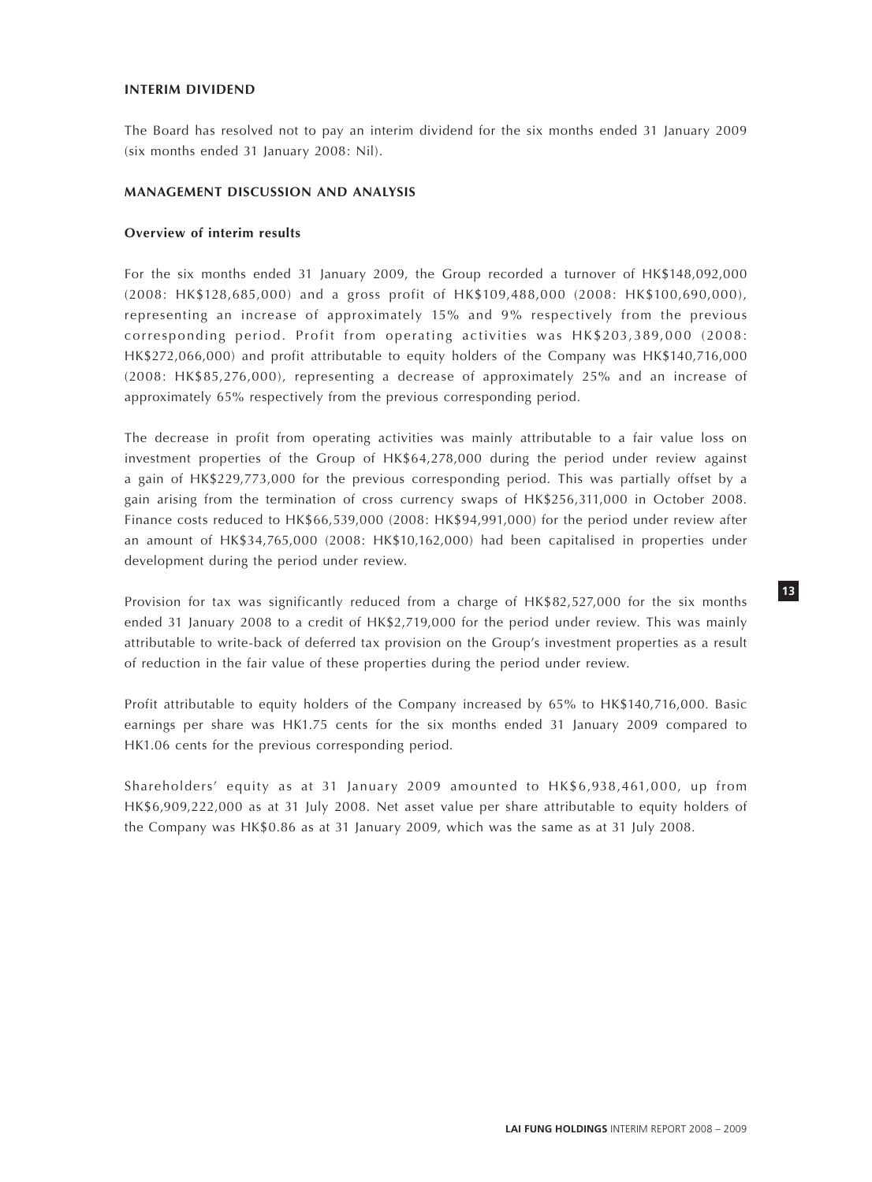## **INTERIM DIVIDEND**

The Board has resolved not to pay an interim dividend for the six months ended 31 January 2009 (six months ended 31 January 2008: Nil).

# **MANAGEMENT DISCUSSION AND ANALYSIS**

# **Overview of interim results**

For the six months ended 31 January 2009, the Group recorded a turnover of HK\$148,092,000 (2008: HK\$128,685,000) and a gross profit of HK\$109,488,000 (2008: HK\$100,690,000), representing an increase of approximately 15% and 9% respectively from the previous corresponding period. Profit from operating activities was HK\$203,389,000 (2008: HK\$272,066,000) and profit attributable to equity holders of the Company was HK\$140,716,000 (2008: HK\$85,276,000), representing a decrease of approximately 25% and an increase of approximately 65% respectively from the previous corresponding period.

The decrease in profit from operating activities was mainly attributable to a fair value loss on investment properties of the Group of HK\$64,278,000 during the period under review against a gain of HK\$229,773,000 for the previous corresponding period. This was partially offset by a gain arising from the termination of cross currency swaps of HK\$256,311,000 in October 2008. Finance costs reduced to HK\$66,539,000 (2008: HK\$94,991,000) for the period under review after an amount of HK\$34,765,000 (2008: HK\$10,162,000) had been capitalised in properties under development during the period under review.

Provision for tax was significantly reduced from a charge of HK\$82,527,000 for the six months ended 31 January 2008 to a credit of HK\$2,719,000 for the period under review. This was mainly attributable to write-back of deferred tax provision on the Group's investment properties as a result of reduction in the fair value of these properties during the period under review.

Profit attributable to equity holders of the Company increased by 65% to HK\$140,716,000. Basic earnings per share was HK1.75 cents for the six months ended 31 January 2009 compared to HK1.06 cents for the previous corresponding period.

Shareholders' equity as at 31 January 2009 amounted to HK\$6,938,461,000, up from HK\$6,909,222,000 as at 31 July 2008. Net asset value per share attributable to equity holders of the Company was HK\$0.86 as at 31 January 2009, which was the same as at 31 July 2008.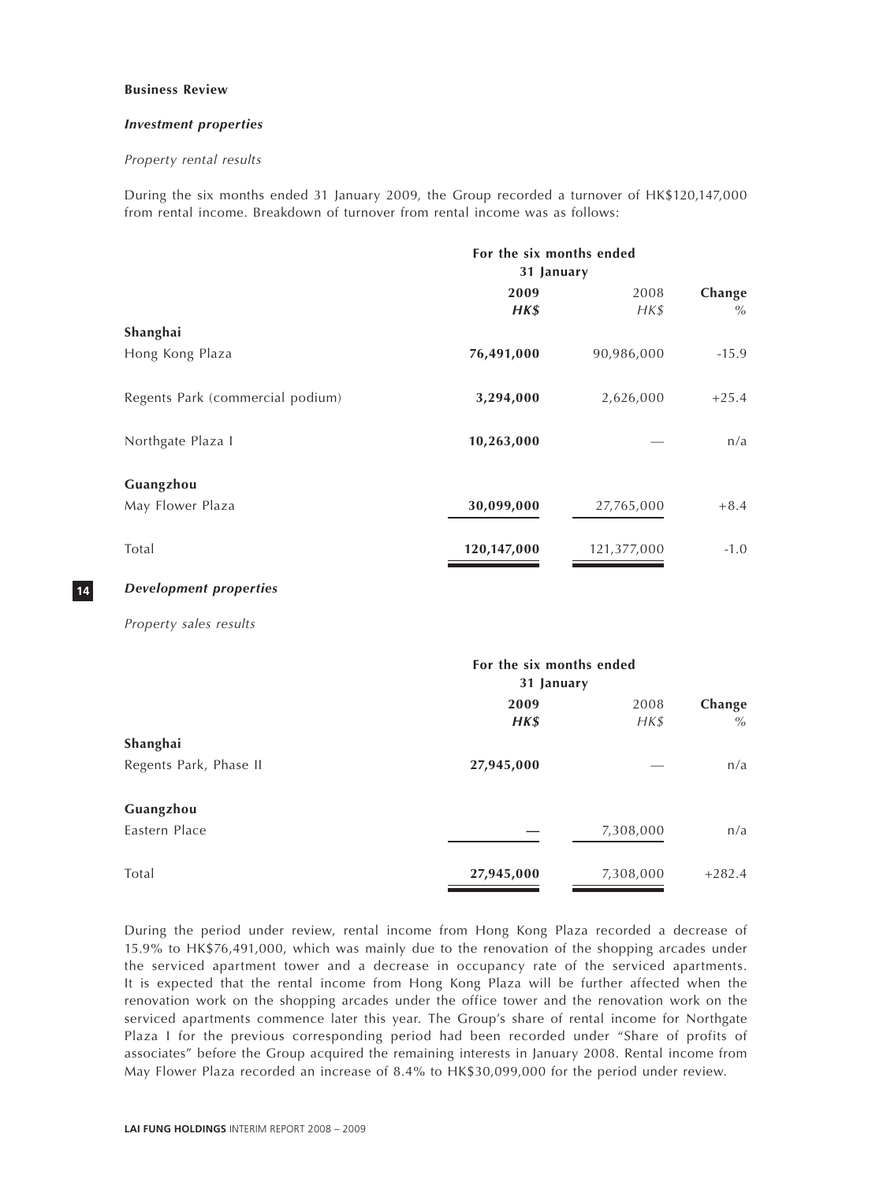#### **Business Review**

#### *Investment properties*

#### *Property rental results*

During the six months ended 31 January 2009, the Group recorded a turnover of HK\$120,147,000 from rental income. Breakdown of turnover from rental income was as follows:

|                                  | For the six months ended<br>31 January |                  |                |  |
|----------------------------------|----------------------------------------|------------------|----------------|--|
|                                  | 2009<br>HK\$                           | 2008<br>$H K$ \$ | Change<br>$\%$ |  |
| Shanghai                         |                                        |                  |                |  |
| Hong Kong Plaza                  | 76,491,000                             | 90,986,000       | $-15.9$        |  |
| Regents Park (commercial podium) | 3,294,000                              | 2,626,000        | $+25.4$        |  |
| Northgate Plaza I                | 10,263,000                             |                  | n/a            |  |
| Guangzhou                        |                                        |                  |                |  |
| May Flower Plaza                 | 30,099,000                             | 27,765,000       | $+8.4$         |  |
| Total                            | 120,147,000                            | 121,377,000      | $-1.0$         |  |

# *Development properties*

**14**

*Property sales results*

|                        | For the six months ended<br>31 January |           |          |  |
|------------------------|----------------------------------------|-----------|----------|--|
|                        | 2009                                   | 2008      | Change   |  |
|                        | $H K$ \$                               | $H K$ \$  | $\%$     |  |
| Shanghai               |                                        |           |          |  |
| Regents Park, Phase II | 27,945,000                             |           | n/a      |  |
| Guangzhou              |                                        |           |          |  |
| Eastern Place          |                                        | 7,308,000 | n/a      |  |
| Total                  | 27,945,000                             | 7,308,000 | $+282.4$ |  |

During the period under review, rental income from Hong Kong Plaza recorded a decrease of 15.9% to HK\$76,491,000, which was mainly due to the renovation of the shopping arcades under the serviced apartment tower and a decrease in occupancy rate of the serviced apartments. It is expected that the rental income from Hong Kong Plaza will be further affected when the renovation work on the shopping arcades under the office tower and the renovation work on the serviced apartments commence later this year. The Group's share of rental income for Northgate Plaza I for the previous corresponding period had been recorded under "Share of profits of associates" before the Group acquired the remaining interests in January 2008. Rental income from May Flower Plaza recorded an increase of 8.4% to HK\$30,099,000 for the period under review.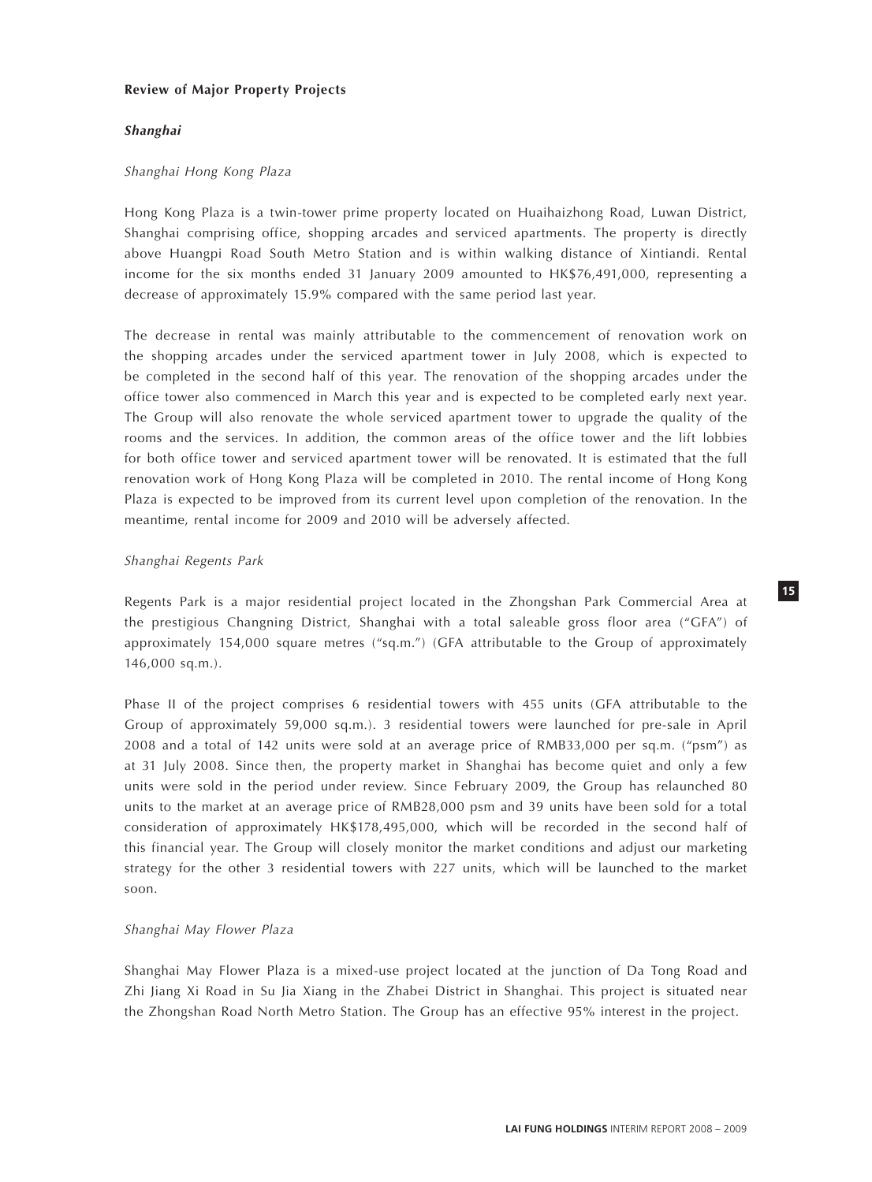## **Review of Major Property Projects**

## *Shanghai*

#### *Shanghai Hong Kong Plaza*

Hong Kong Plaza is a twin-tower prime property located on Huaihaizhong Road, Luwan District, Shanghai comprising office, shopping arcades and serviced apartments. The property is directly above Huangpi Road South Metro Station and is within walking distance of Xintiandi. Rental income for the six months ended 31 January 2009 amounted to HK\$76,491,000, representing a decrease of approximately 15.9% compared with the same period last year.

The decrease in rental was mainly attributable to the commencement of renovation work on the shopping arcades under the serviced apartment tower in July 2008, which is expected to be completed in the second half of this year. The renovation of the shopping arcades under the office tower also commenced in March this year and is expected to be completed early next year. The Group will also renovate the whole serviced apartment tower to upgrade the quality of the rooms and the services. In addition, the common areas of the office tower and the lift lobbies for both office tower and serviced apartment tower will be renovated. It is estimated that the full renovation work of Hong Kong Plaza will be completed in 2010. The rental income of Hong Kong Plaza is expected to be improved from its current level upon completion of the renovation. In the meantime, rental income for 2009 and 2010 will be adversely affected.

## *Shanghai Regents Park*

Regents Park is a major residential project located in the Zhongshan Park Commercial Area at the prestigious Changning District, Shanghai with a total saleable gross floor area ("GFA") of approximately 154,000 square metres ("sq.m.") (GFA attributable to the Group of approximately 146,000 sq.m.).

Phase II of the project comprises 6 residential towers with 455 units (GFA attributable to the Group of approximately 59,000 sq.m.). 3 residential towers were launched for pre-sale in April 2008 and a total of 142 units were sold at an average price of RMB33,000 per sq.m. ("psm") as at 31 July 2008. Since then, the property market in Shanghai has become quiet and only a few units were sold in the period under review. Since February 2009, the Group has relaunched 80 units to the market at an average price of RMB28,000 psm and 39 units have been sold for a total consideration of approximately HK\$178,495,000, which will be recorded in the second half of this financial year. The Group will closely monitor the market conditions and adjust our marketing strategy for the other 3 residential towers with 227 units, which will be launched to the market soon.

# *Shanghai May Flower Plaza*

Shanghai May Flower Plaza is a mixed-use project located at the junction of Da Tong Road and Zhi Jiang Xi Road in Su Jia Xiang in the Zhabei District in Shanghai. This project is situated near the Zhongshan Road North Metro Station. The Group has an effective 95% interest in the project.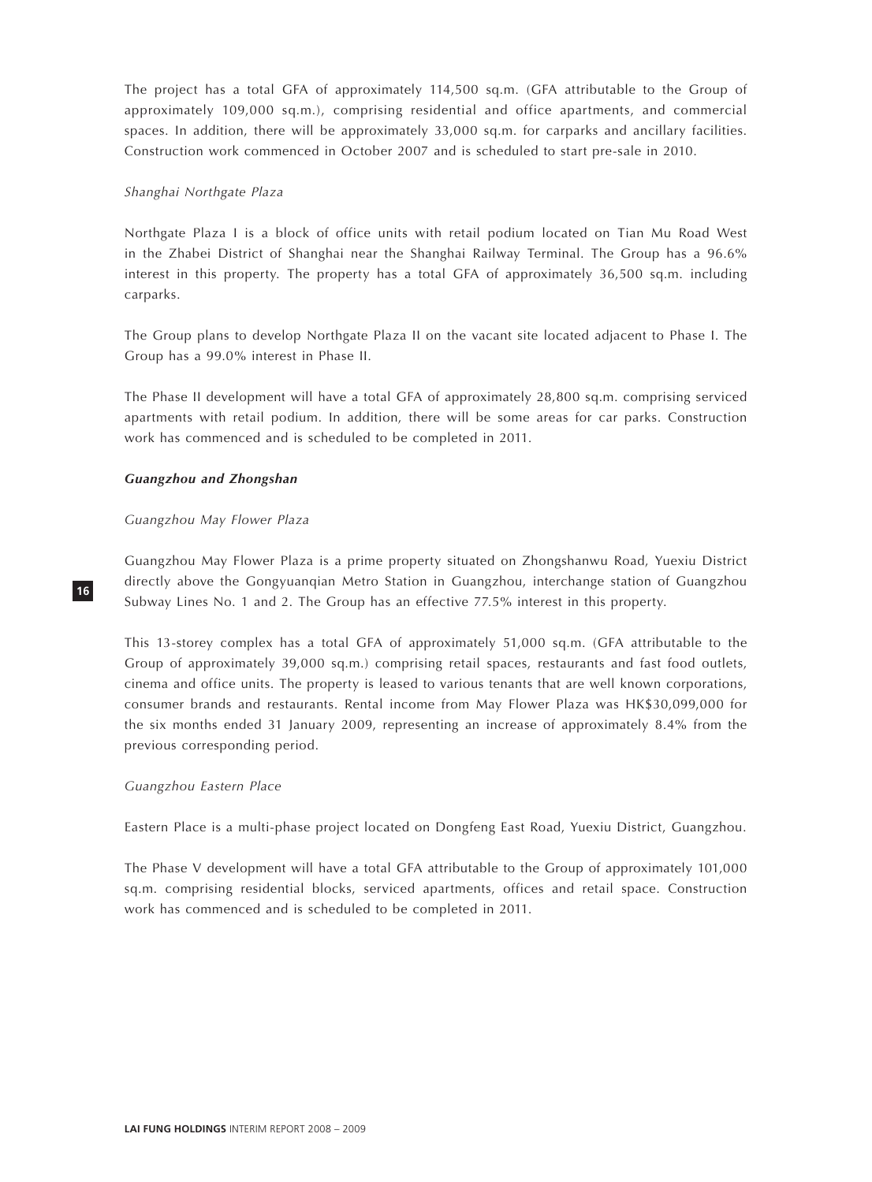The project has a total GFA of approximately 114,500 sq.m. (GFA attributable to the Group of approximately 109,000 sq.m.), comprising residential and office apartments, and commercial spaces. In addition, there will be approximately 33,000 sq.m. for carparks and ancillary facilities. Construction work commenced in October 2007 and is scheduled to start pre-sale in 2010.

# *Shanghai Northgate Plaza*

Northgate Plaza I is a block of office units with retail podium located on Tian Mu Road West in the Zhabei District of Shanghai near the Shanghai Railway Terminal. The Group has a 96.6% interest in this property. The property has a total GFA of approximately 36,500 sq.m. including carparks.

The Group plans to develop Northgate Plaza II on the vacant site located adjacent to Phase I. The Group has a 99.0% interest in Phase II.

The Phase II development will have a total GFA of approximately 28,800 sq.m. comprising serviced apartments with retail podium. In addition, there will be some areas for car parks. Construction work has commenced and is scheduled to be completed in 2011.

# *Guangzhou and Zhongshan*

# *Guangzhou May Flower Plaza*

Guangzhou May Flower Plaza is a prime property situated on Zhongshanwu Road, Yuexiu District directly above the Gongyuanqian Metro Station in Guangzhou, interchange station of Guangzhou Subway Lines No. 1 and 2. The Group has an effective 77.5% interest in this property.

This 13-storey complex has a total GFA of approximately 51,000 sq.m. (GFA attributable to the Group of approximately 39,000 sq.m.) comprising retail spaces, restaurants and fast food outlets, cinema and office units. The property is leased to various tenants that are well known corporations, consumer brands and restaurants. Rental income from May Flower Plaza was HK\$30,099,000 for the six months ended 31 January 2009, representing an increase of approximately 8.4% from the previous corresponding period.

# *Guangzhou Eastern Place*

Eastern Place is a multi-phase project located on Dongfeng East Road, Yuexiu District, Guangzhou.

The Phase V development will have a total GFA attributable to the Group of approximately 101,000 sq.m. comprising residential blocks, serviced apartments, offices and retail space. Construction work has commenced and is scheduled to be completed in 2011.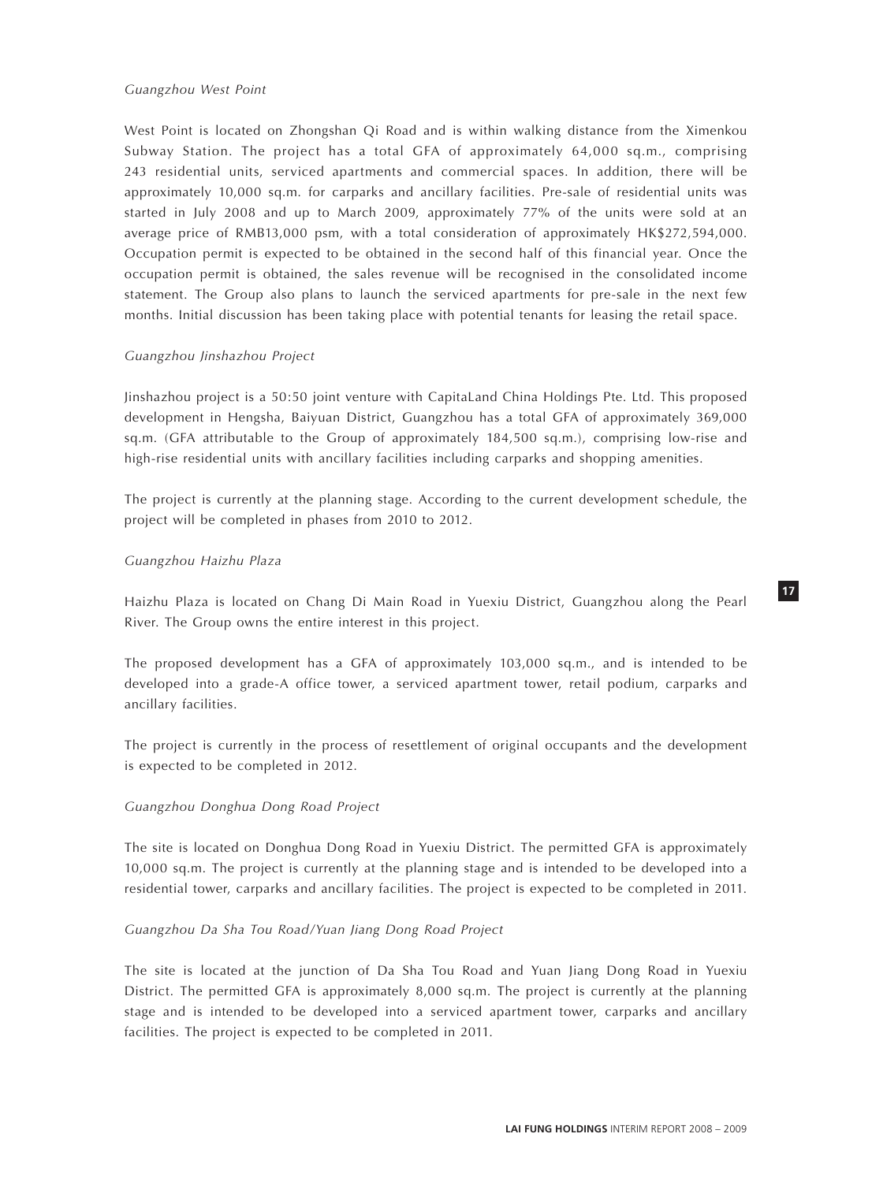# *Guangzhou West Point*

West Point is located on Zhongshan Qi Road and is within walking distance from the Ximenkou Subway Station. The project has a total GFA of approximately 64,000 sq.m., comprising 243 residential units, serviced apartments and commercial spaces. In addition, there will be approximately 10,000 sq.m. for carparks and ancillary facilities. Pre-sale of residential units was started in July 2008 and up to March 2009, approximately 77% of the units were sold at an average price of RMB13,000 psm, with a total consideration of approximately HK\$272,594,000. Occupation permit is expected to be obtained in the second half of this financial year. Once the occupation permit is obtained, the sales revenue will be recognised in the consolidated income statement. The Group also plans to launch the serviced apartments for pre-sale in the next few months. Initial discussion has been taking place with potential tenants for leasing the retail space.

# *Guangzhou Jinshazhou Project*

Jinshazhou project is a 50:50 joint venture with CapitaLand China Holdings Pte. Ltd. This proposed development in Hengsha, Baiyuan District, Guangzhou has a total GFA of approximately 369,000 sq.m. (GFA attributable to the Group of approximately 184,500 sq.m.), comprising low-rise and high-rise residential units with ancillary facilities including carparks and shopping amenities.

The project is currently at the planning stage. According to the current development schedule, the project will be completed in phases from 2010 to 2012.

# *Guangzhou Haizhu Plaza*

Haizhu Plaza is located on Chang Di Main Road in Yuexiu District, Guangzhou along the Pearl River. The Group owns the entire interest in this project.

The proposed development has a GFA of approximately 103,000 sq.m., and is intended to be developed into a grade-A office tower, a serviced apartment tower, retail podium, carparks and ancillary facilities.

The project is currently in the process of resettlement of original occupants and the development is expected to be completed in 2012.

# *Guangzhou Donghua Dong Road Project*

The site is located on Donghua Dong Road in Yuexiu District. The permitted GFA is approximately 10,000 sq.m. The project is currently at the planning stage and is intended to be developed into a residential tower, carparks and ancillary facilities. The project is expected to be completed in 2011.

# *Guangzhou Da Sha Tou Road/Yuan Jiang Dong Road Project*

The site is located at the junction of Da Sha Tou Road and Yuan Jiang Dong Road in Yuexiu District. The permitted GFA is approximately 8,000 sq.m. The project is currently at the planning stage and is intended to be developed into a serviced apartment tower, carparks and ancillary facilities. The project is expected to be completed in 2011.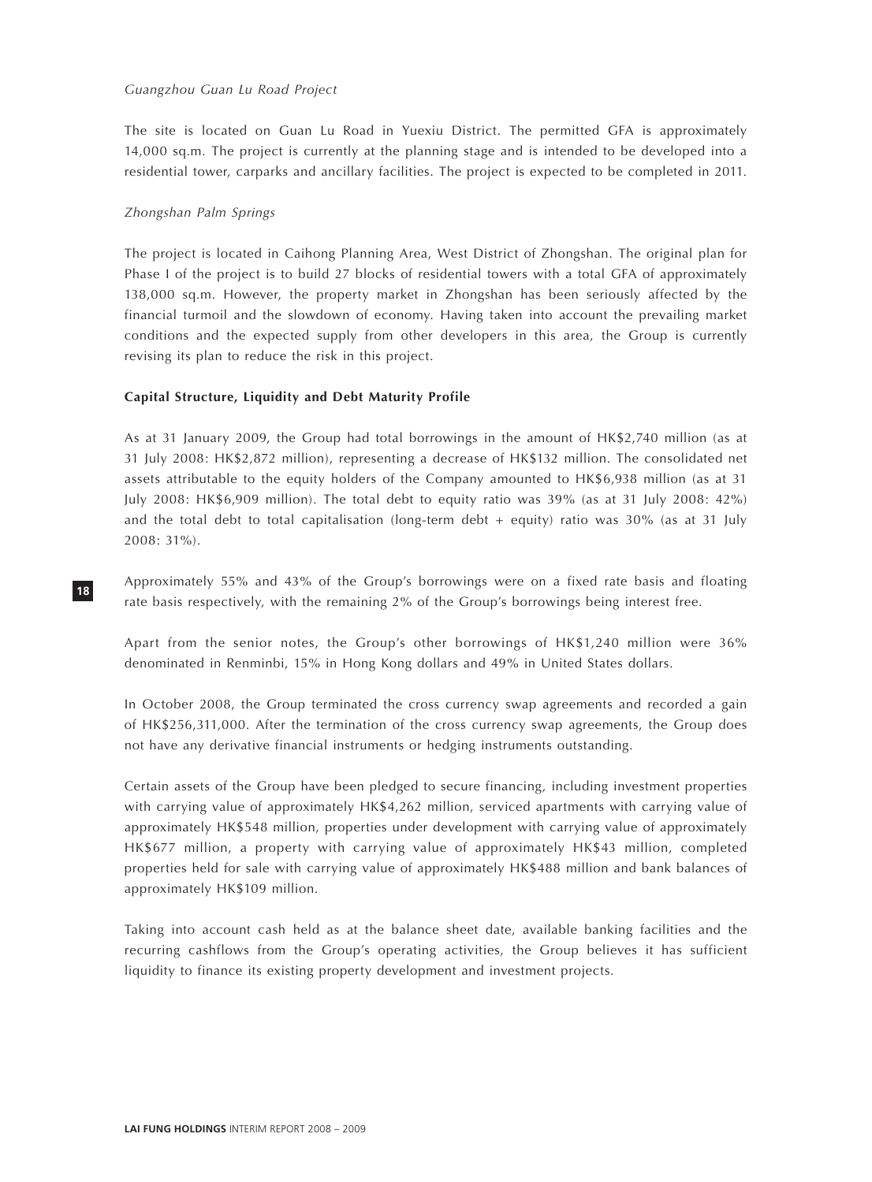## *Guangzhou Guan Lu Road Project*

The site is located on Guan Lu Road in Yuexiu District. The permitted GFA is approximately 14,000 sq.m. The project is currently at the planning stage and is intended to be developed into a residential tower, carparks and ancillary facilities. The project is expected to be completed in 2011.

# *Zhongshan Palm Springs*

**18**

The project is located in Caihong Planning Area, West District of Zhongshan. The original plan for Phase I of the project is to build 27 blocks of residential towers with a total GFA of approximately 138,000 sq.m. However, the property market in Zhongshan has been seriously affected by the financial turmoil and the slowdown of economy. Having taken into account the prevailing market conditions and the expected supply from other developers in this area, the Group is currently revising its plan to reduce the risk in this project.

# **Capital Structure, Liquidity and Debt Maturity Profile**

As at 31 January 2009, the Group had total borrowings in the amount of HK\$2,740 million (as at 31 July 2008: HK\$2,872 million), representing a decrease of HK\$132 million. The consolidated net assets attributable to the equity holders of the Company amounted to HK\$6,938 million (as at 31 July 2008: HK\$6,909 million). The total debt to equity ratio was 39% (as at 31 July 2008: 42%) and the total debt to total capitalisation (long-term debt + equity) ratio was 30% (as at 31 July 2008: 31%).

Approximately 55% and 43% of the Group's borrowings were on a fixed rate basis and floating rate basis respectively, with the remaining 2% of the Group's borrowings being interest free.

Apart from the senior notes, the Group's other borrowings of HK\$1,240 million were 36% denominated in Renminbi, 15% in Hong Kong dollars and 49% in United States dollars.

In October 2008, the Group terminated the cross currency swap agreements and recorded a gain of HK\$256,311,000. After the termination of the cross currency swap agreements, the Group does not have any derivative financial instruments or hedging instruments outstanding.

Certain assets of the Group have been pledged to secure financing, including investment properties with carrying value of approximately HK\$4,262 million, serviced apartments with carrying value of approximately HK\$548 million, properties under development with carrying value of approximately HK\$677 million, a property with carrying value of approximately HK\$43 million, completed properties held for sale with carrying value of approximately HK\$488 million and bank balances of approximately HK\$109 million.

Taking into account cash held as at the balance sheet date, available banking facilities and the recurring cashflows from the Group's operating activities, the Group believes it has sufficient liquidity to finance its existing property development and investment projects.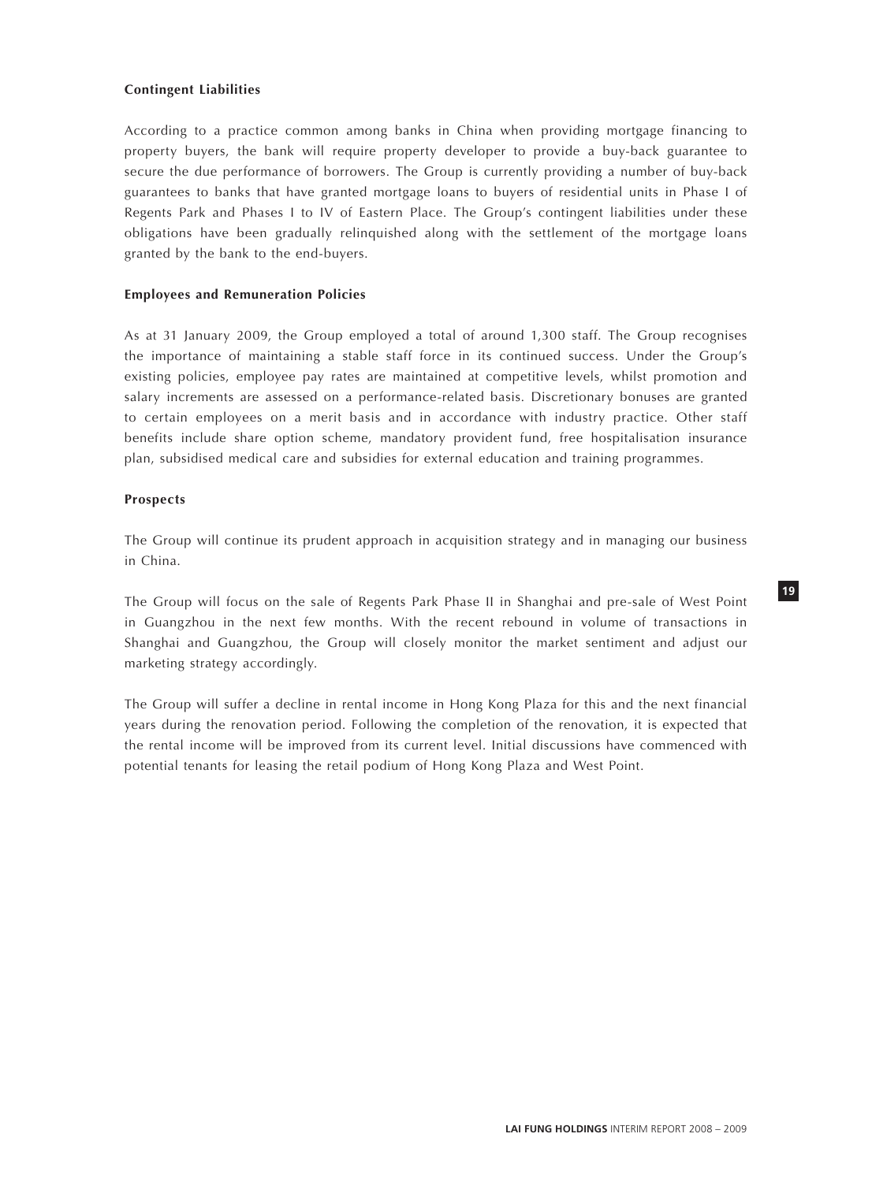## **Contingent Liabilities**

According to a practice common among banks in China when providing mortgage financing to property buyers, the bank will require property developer to provide a buy-back guarantee to secure the due performance of borrowers. The Group is currently providing a number of buy-back guarantees to banks that have granted mortgage loans to buyers of residential units in Phase I of Regents Park and Phases I to IV of Eastern Place. The Group's contingent liabilities under these obligations have been gradually relinquished along with the settlement of the mortgage loans granted by the bank to the end-buyers.

## **Employees and Remuneration Policies**

As at 31 January 2009, the Group employed a total of around 1,300 staff. The Group recognises the importance of maintaining a stable staff force in its continued success. Under the Group's existing policies, employee pay rates are maintained at competitive levels, whilst promotion and salary increments are assessed on a performance-related basis. Discretionary bonuses are granted to certain employees on a merit basis and in accordance with industry practice. Other staff benefits include share option scheme, mandatory provident fund, free hospitalisation insurance plan, subsidised medical care and subsidies for external education and training programmes.

## **Prospects**

The Group will continue its prudent approach in acquisition strategy and in managing our business in China.

The Group will focus on the sale of Regents Park Phase II in Shanghai and pre-sale of West Point in Guangzhou in the next few months. With the recent rebound in volume of transactions in Shanghai and Guangzhou, the Group will closely monitor the market sentiment and adjust our marketing strategy accordingly.

The Group will suffer a decline in rental income in Hong Kong Plaza for this and the next financial years during the renovation period. Following the completion of the renovation, it is expected that the rental income will be improved from its current level. Initial discussions have commenced with potential tenants for leasing the retail podium of Hong Kong Plaza and West Point.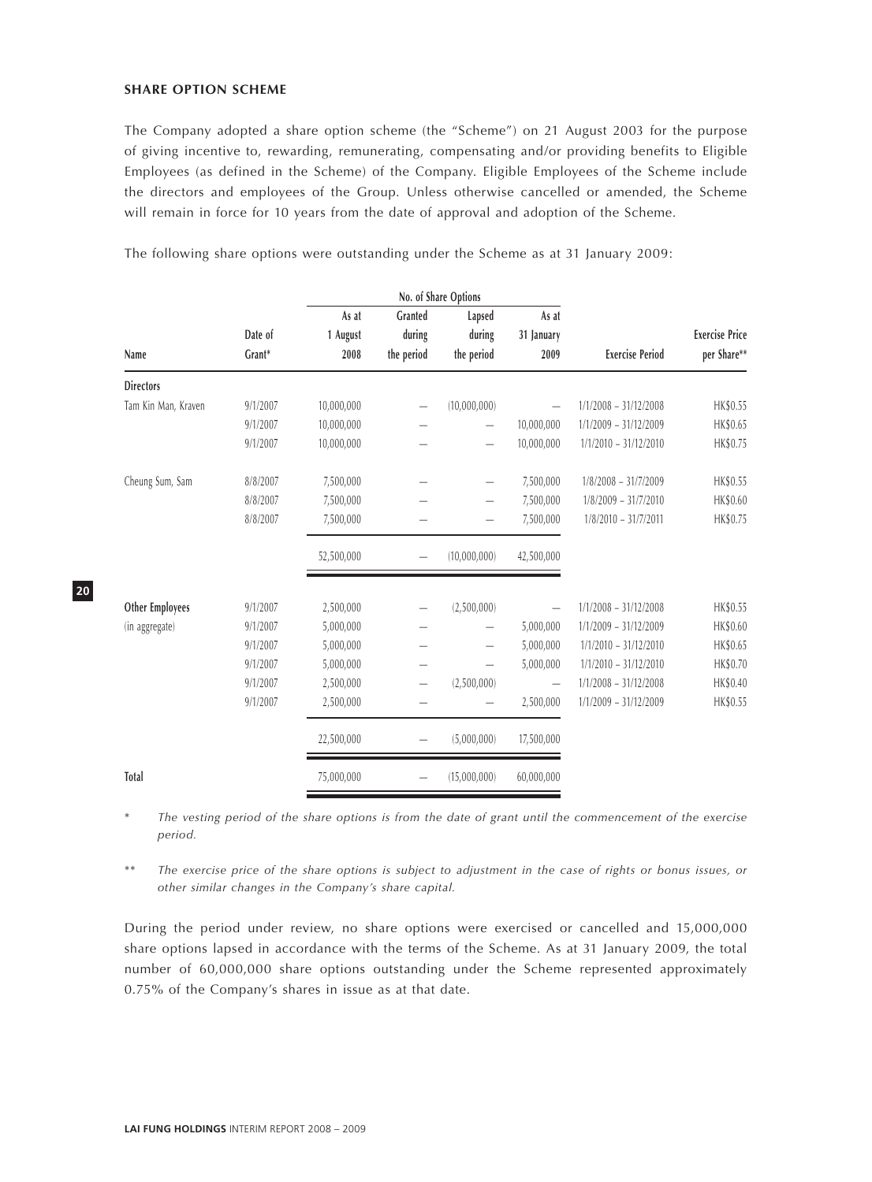## **SHARE OPTION SCHEME**

The Company adopted a share option scheme (the "Scheme") on 21 August 2003 for the purpose of giving incentive to, rewarding, remunerating, compensating and/or providing benefits to Eligible Employees (as defined in the Scheme) of the Company. Eligible Employees of the Scheme include the directors and employees of the Group. Unless otherwise cancelled or amended, the Scheme will remain in force for 10 years from the date of approval and adoption of the Scheme.

The following share options were outstanding under the Scheme as at 31 January 2009:

|                        |          | No. of Share Options |                          |                          |                          |                         |                       |
|------------------------|----------|----------------------|--------------------------|--------------------------|--------------------------|-------------------------|-----------------------|
|                        |          | As at                | Granted                  | Lapsed                   | As at                    |                         |                       |
|                        | Date of  | 1 August             | during                   | during                   | 31 January               |                         | <b>Exercise Price</b> |
| Name                   | Grant*   | 2008                 | the period               | the period               | 2009                     | <b>Exercise Period</b>  | per Share**           |
| <b>Directors</b>       |          |                      |                          |                          |                          |                         |                       |
| Tam Kin Man, Kraven    | 9/1/2007 | 10,000,000           |                          | (10,000,000)             |                          | $1/1/2008 - 31/12/2008$ | HK\$0.55              |
|                        | 9/1/2007 | 10,000,000           |                          |                          | 10,000,000               | $1/1/2009 - 31/12/2009$ | HK\$0.65              |
|                        | 9/1/2007 | 10,000,000           |                          |                          | 10,000,000               | $1/1/2010 - 31/12/2010$ | HK\$0.75              |
| Cheung Sum, Sam        | 8/8/2007 | 7,500,000            |                          |                          | 7,500,000                | $1/8/2008 - 31/7/2009$  | HK\$0.55              |
|                        | 8/8/2007 | 7,500,000            |                          | $\overline{\phantom{0}}$ | 7,500,000                | $1/8/2009 - 31/7/2010$  | HK\$0.60              |
|                        | 8/8/2007 | 7,500,000            |                          |                          | 7,500,000                | $1/8/2010 - 31/7/2011$  | HK\$0.75              |
|                        |          | 52,500,000           | $\overline{\phantom{0}}$ | (10,000,000)             | 42,500,000               |                         |                       |
| <b>Other Employees</b> | 9/1/2007 | 2,500,000            |                          | (2,500,000)              | $\qquad \qquad -$        | $1/1/2008 - 31/12/2008$ | HK\$0.55              |
| (in aggregate)         | 9/1/2007 | 5,000,000            |                          |                          | 5,000,000                | $1/1/2009 - 31/12/2009$ | HK\$0.60              |
|                        | 9/1/2007 | 5,000,000            | -                        |                          | 5,000,000                | $1/1/2010 - 31/12/2010$ | HK\$0.65              |
|                        | 9/1/2007 | 5,000,000            |                          |                          | 5,000,000                | $1/1/2010 - 31/12/2010$ | HK\$0.70              |
|                        | 9/1/2007 | 2,500,000            | $\overline{\phantom{0}}$ | (2,500,000)              | $\overline{\phantom{m}}$ | $1/1/2008 - 31/12/2008$ | HK\$0.40              |
|                        | 9/1/2007 | 2,500,000            |                          |                          | 2,500,000                | $1/1/2009 - 31/12/2009$ | HK\$0.55              |
|                        |          | 22,500,000           |                          | (5,000,000)              | 17,500,000               |                         |                       |
| Total                  |          | 75,000,000           |                          | (15,000,000)             | 60,000,000               |                         |                       |

\* *The vesting period of the share options is from the date of grant until the commencement of the exercise period.*

\*\* *The exercise price of the share options is subject to adjustment in the case of rights or bonus issues, or other similar changes in the Company's share capital.*

During the period under review, no share options were exercised or cancelled and 15,000,000 share options lapsed in accordance with the terms of the Scheme. As at 31 January 2009, the total number of 60,000,000 share options outstanding under the Scheme represented approximately 0.75% of the Company's shares in issue as at that date.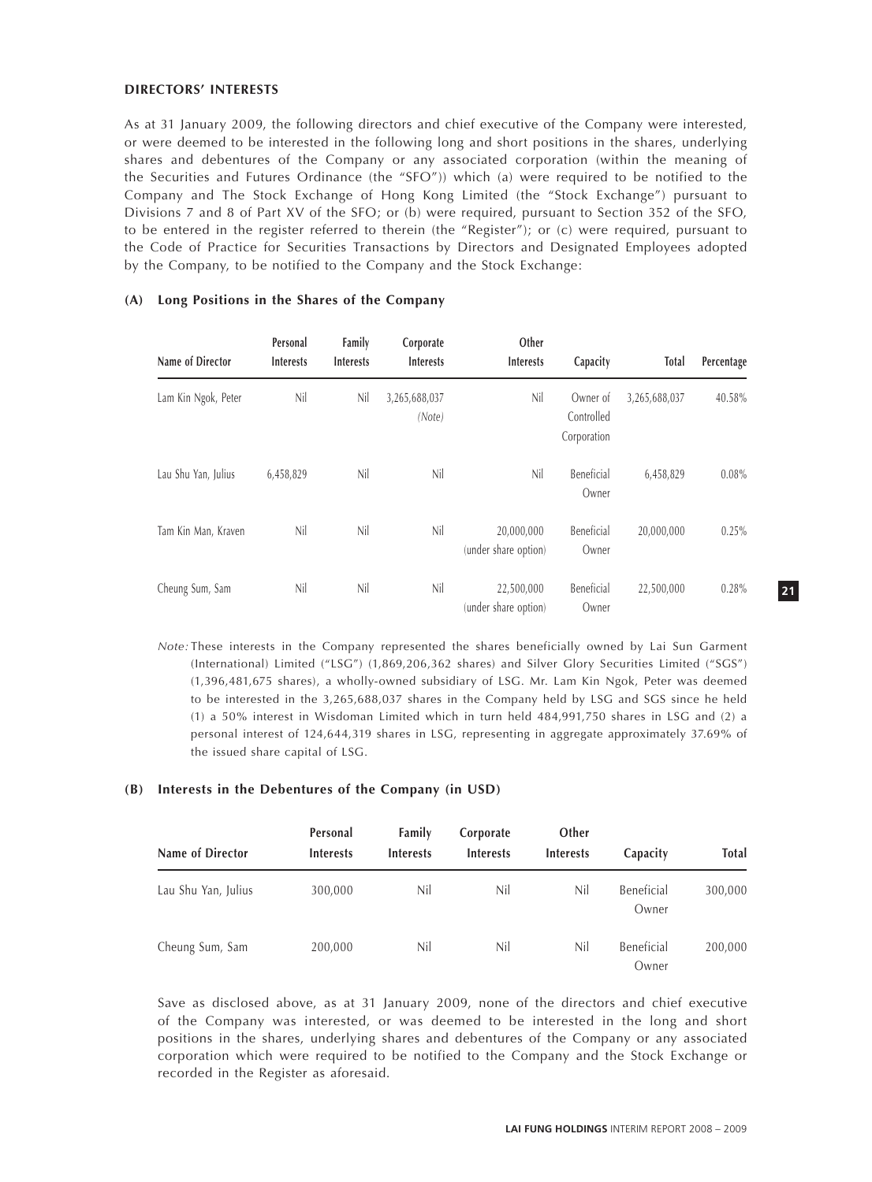#### **DIRECTORS' INTERESTS**

As at 31 January 2009, the following directors and chief executive of the Company were interested, or were deemed to be interested in the following long and short positions in the shares, underlying shares and debentures of the Company or any associated corporation (within the meaning of the Securities and Futures Ordinance (the "SFO")) which (a) were required to be notified to the Company and The Stock Exchange of Hong Kong Limited (the "Stock Exchange") pursuant to Divisions 7 and 8 of Part XV of the SFO; or (b) were required, pursuant to Section 352 of the SFO, to be entered in the register referred to therein (the "Register"); or (c) were required, pursuant to the Code of Practice for Securities Transactions by Directors and Designated Employees adopted by the Company, to be notified to the Company and the Stock Exchange:

| Name of Director    | Personal<br><b>Interests</b> | Family<br><b>Interests</b> | Corporate<br><b>Interests</b> | Other<br><b>Interests</b>          | Capacity                              | Total         | Percentage |
|---------------------|------------------------------|----------------------------|-------------------------------|------------------------------------|---------------------------------------|---------------|------------|
| Lam Kin Ngok, Peter | Nil                          | Nil                        | 3,265,688,037<br>(Note)       | Nil                                | Owner of<br>Controlled<br>Corporation | 3,265,688,037 | 40.58%     |
| Lau Shu Yan, Julius | 6,458,829                    | Nil                        | Nil                           | Nil                                | Beneficial<br>Owner                   | 6,458,829     | 0.08%      |
| Tam Kin Man, Kraven | Nil                          | Nil                        | Nil                           | 20,000,000<br>(under share option) | Beneficial<br>Owner                   | 20,000,000    | 0.25%      |
| Cheung Sum, Sam     | Nil                          | Nil                        | Nil                           | 22,500,000<br>(under share option) | Beneficial<br>Owner                   | 22,500,000    | 0.28%      |

# **(A) Long Positions in the Shares of the Company**

*Note:* These interests in the Company represented the shares beneficially owned by Lai Sun Garment (International) Limited ("LSG") (1,869,206,362 shares) and Silver Glory Securities Limited ("SGS") (1,396,481,675 shares), a wholly-owned subsidiary of LSG. Mr. Lam Kin Ngok, Peter was deemed to be interested in the 3,265,688,037 shares in the Company held by LSG and SGS since he held (1) a 50% interest in Wisdoman Limited which in turn held 484,991,750 shares in LSG and (2) a personal interest of 124,644,319 shares in LSG, representing in aggregate approximately 37.69% of the issued share capital of LSG.

#### **(B) Interests in the Debentures of the Company (in USD)**

| Name of Director    | Personal<br><b>Interests</b> | Family<br><b>Interests</b> | Corporate<br><b>Interests</b> | Other<br><b>Interests</b> | Capacity            | Total   |
|---------------------|------------------------------|----------------------------|-------------------------------|---------------------------|---------------------|---------|
| Lau Shu Yan, Julius | 300,000                      | Nil                        | Nil                           | Nil                       | Beneficial<br>Owner | 300,000 |
| Cheung Sum, Sam     | 200,000                      | Nil                        | Nil                           | Nil                       | Beneficial<br>Owner | 200,000 |

Save as disclosed above, as at 31 January 2009, none of the directors and chief executive of the Company was interested, or was deemed to be interested in the long and short positions in the shares, underlying shares and debentures of the Company or any associated corporation which were required to be notified to the Company and the Stock Exchange or recorded in the Register as aforesaid.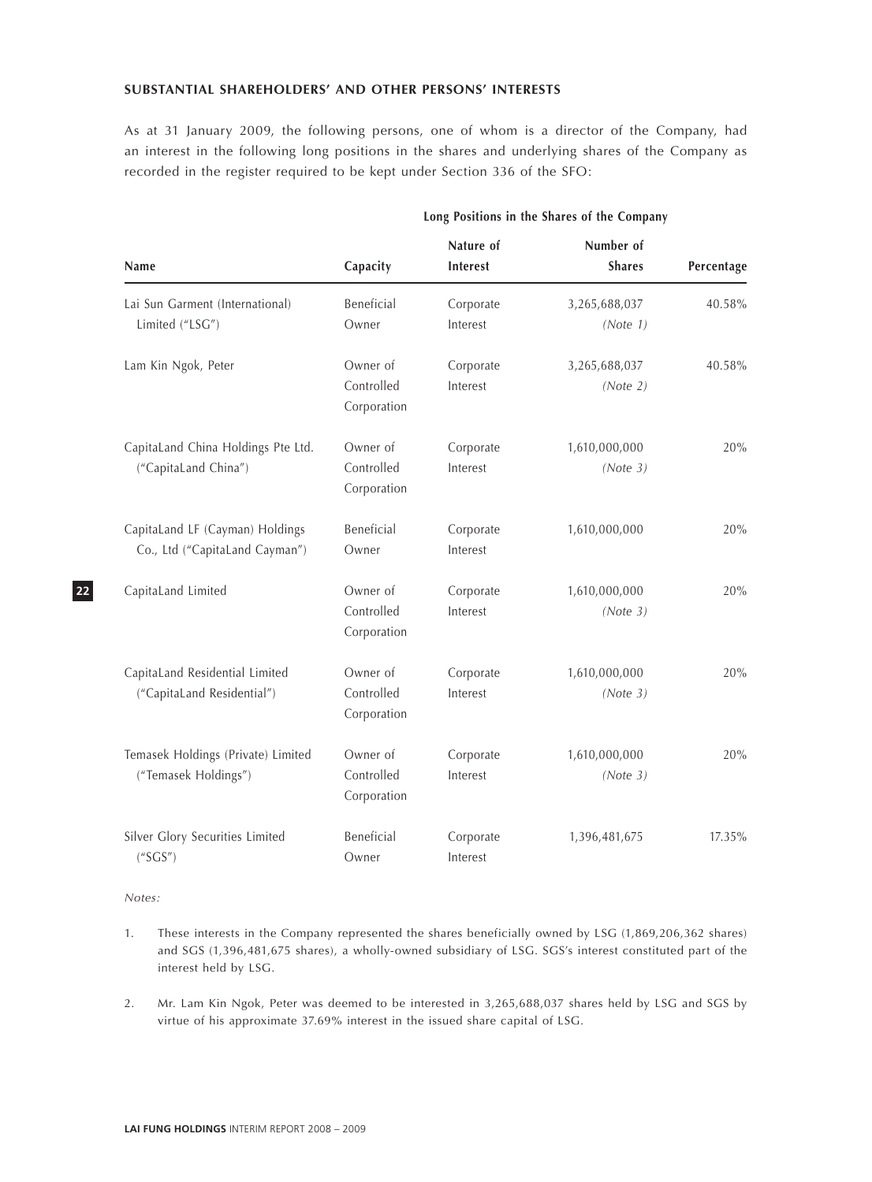#### **SUBSTANTIAL SHAREHOLDERS' AND OTHER PERSONS' INTERESTS**

As at 31 January 2009, the following persons, one of whom is a director of the Company, had an interest in the following long positions in the shares and underlying shares of the Company as recorded in the register required to be kept under Section 336 of the SFO:

|                                                                   | Long Positions in the Shares of the Company |                       |                            |            |  |  |
|-------------------------------------------------------------------|---------------------------------------------|-----------------------|----------------------------|------------|--|--|
| Name                                                              | Capacity                                    | Nature of<br>Interest | Number of<br><b>Shares</b> | Percentage |  |  |
| Lai Sun Garment (International)<br>Limited ("LSG")                | Beneficial<br>Owner                         | Corporate<br>Interest | 3,265,688,037<br>(Note 1)  | 40.58%     |  |  |
| Lam Kin Ngok, Peter                                               | Owner of<br>Controlled<br>Corporation       | Corporate<br>Interest | 3,265,688,037<br>(Note 2)  | 40.58%     |  |  |
| CapitaLand China Holdings Pte Ltd.<br>("CapitaLand China")        | Owner of<br>Controlled<br>Corporation       | Corporate<br>Interest | 1,610,000,000<br>(Note 3)  | 20%        |  |  |
| CapitaLand LF (Cayman) Holdings<br>Co., Ltd ("CapitaLand Cayman") | Beneficial<br>Owner                         | Corporate<br>Interest | 1,610,000,000              | 20%        |  |  |
| CapitaLand Limited                                                | Owner of<br>Controlled<br>Corporation       | Corporate<br>Interest | 1,610,000,000<br>(Note 3)  | 20%        |  |  |
| CapitaLand Residential Limited<br>("CapitaLand Residential")      | Owner of<br>Controlled<br>Corporation       | Corporate<br>Interest | 1,610,000,000<br>(Note 3)  | 20%        |  |  |
| Temasek Holdings (Private) Limited<br>("Temasek Holdings")        | Owner of<br>Controlled<br>Corporation       | Corporate<br>Interest | 1,610,000,000<br>(Note 3)  | 20%        |  |  |
| Silver Glory Securities Limited<br>$($ "SGS")                     | Beneficial<br>Owner                         | Corporate<br>Interest | 1,396,481,675              | 17.35%     |  |  |

*Notes:*

- 1. These interests in the Company represented the shares beneficially owned by LSG (1,869,206,362 shares) and SGS (1,396,481,675 shares), a wholly-owned subsidiary of LSG. SGS's interest constituted part of the interest held by LSG.
- 2. Mr. Lam Kin Ngok, Peter was deemed to be interested in 3,265,688,037 shares held by LSG and SGS by virtue of his approximate 37.69% interest in the issued share capital of LSG.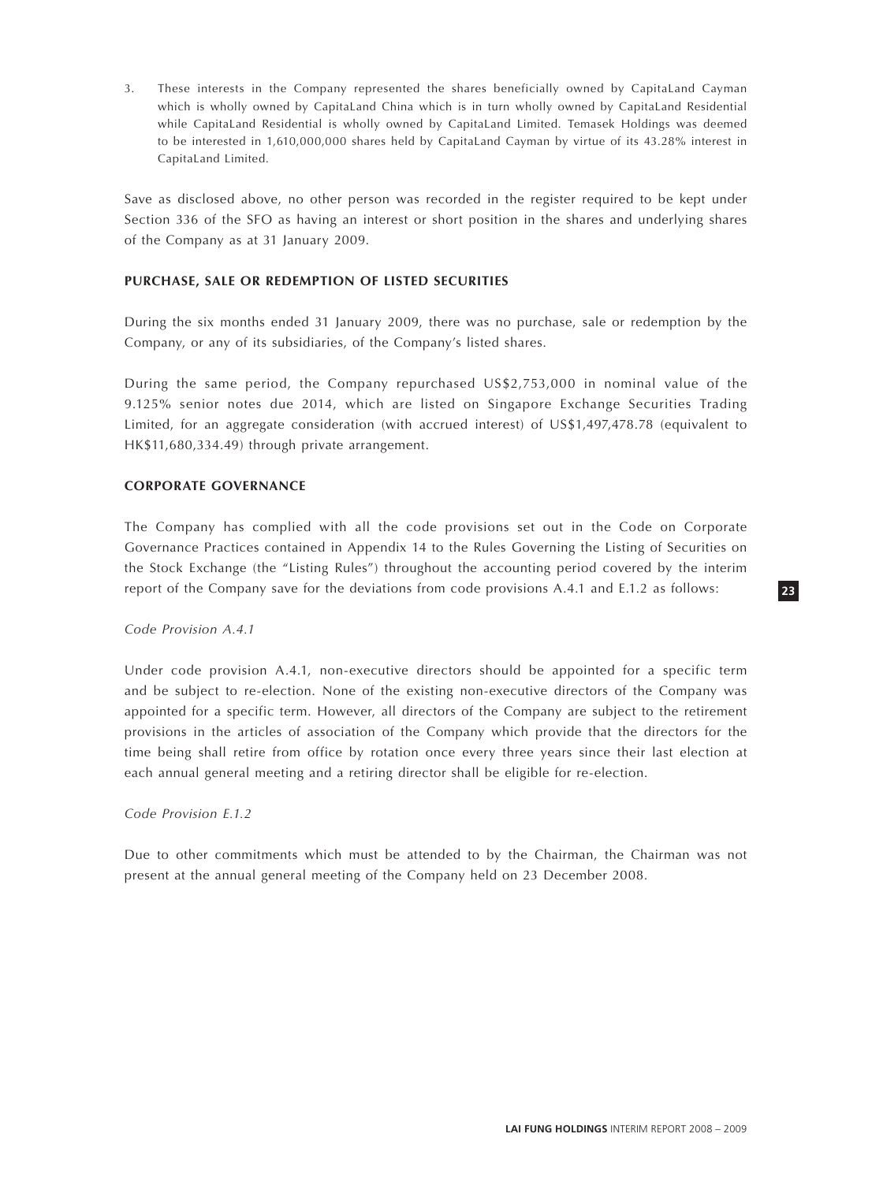3. These interests in the Company represented the shares beneficially owned by CapitaLand Cayman which is wholly owned by CapitaLand China which is in turn wholly owned by CapitaLand Residential while CapitaLand Residential is wholly owned by CapitaLand Limited. Temasek Holdings was deemed to be interested in 1,610,000,000 shares held by CapitaLand Cayman by virtue of its 43.28% interest in CapitaLand Limited.

Save as disclosed above, no other person was recorded in the register required to be kept under Section 336 of the SFO as having an interest or short position in the shares and underlying shares of the Company as at 31 January 2009.

## **PURCHASE, SALE OR REDEMPTION OF LISTED SECURITIES**

During the six months ended 31 January 2009, there was no purchase, sale or redemption by the Company, or any of its subsidiaries, of the Company's listed shares.

During the same period, the Company repurchased US\$2,753,000 in nominal value of the 9.125% senior notes due 2014, which are listed on Singapore Exchange Securities Trading Limited, for an aggregate consideration (with accrued interest) of US\$1,497,478.78 (equivalent to HK\$11,680,334.49) through private arrangement.

# **CORPORATE GOVERNANCE**

The Company has complied with all the code provisions set out in the Code on Corporate Governance Practices contained in Appendix 14 to the Rules Governing the Listing of Securities on the Stock Exchange (the "Listing Rules") throughout the accounting period covered by the interim report of the Company save for the deviations from code provisions A.4.1 and E.1.2 as follows:

#### *Code Provision A.4.1*

Under code provision A.4.1, non-executive directors should be appointed for a specific term and be subject to re-election. None of the existing non-executive directors of the Company was appointed for a specific term. However, all directors of the Company are subject to the retirement provisions in the articles of association of the Company which provide that the directors for the time being shall retire from office by rotation once every three years since their last election at each annual general meeting and a retiring director shall be eligible for re-election.

#### *Code Provision E.1.2*

Due to other commitments which must be attended to by the Chairman, the Chairman was not present at the annual general meeting of the Company held on 23 December 2008.